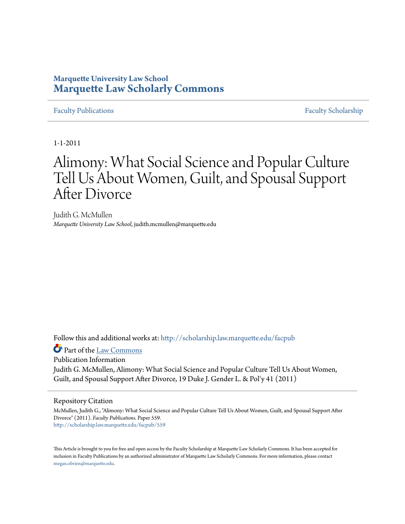# **Marquette University Law School [Marquette Law Scholarly Commons](http://scholarship.law.marquette.edu?utm_source=scholarship.law.marquette.edu%2Ffacpub%2F559&utm_medium=PDF&utm_campaign=PDFCoverPages)**

## [Faculty Publications](http://scholarship.law.marquette.edu/facpub?utm_source=scholarship.law.marquette.edu%2Ffacpub%2F559&utm_medium=PDF&utm_campaign=PDFCoverPages) [Faculty Scholarship](http://scholarship.law.marquette.edu/faculty?utm_source=scholarship.law.marquette.edu%2Ffacpub%2F559&utm_medium=PDF&utm_campaign=PDFCoverPages)

1-1-2011

# Alimony: What Social Science and Popular Culture Tell Us About Women, Guilt, and Spousal Support After Divorce

Judith G. McMullen *Marquette University Law School*, judith.mcmullen@marquette.edu

Follow this and additional works at: [http://scholarship.law.marquette.edu/facpub](http://scholarship.law.marquette.edu/facpub?utm_source=scholarship.law.marquette.edu%2Ffacpub%2F559&utm_medium=PDF&utm_campaign=PDFCoverPages)

Part of the [Law Commons](http://network.bepress.com/hgg/discipline/578?utm_source=scholarship.law.marquette.edu%2Ffacpub%2F559&utm_medium=PDF&utm_campaign=PDFCoverPages)

Publication Information Judith G. McMullen, Alimony: What Social Science and Popular Culture Tell Us About Women, Guilt, and Spousal Support After Divorce, 19 Duke J. Gender L. & Pol'y 41 (2011)

### Repository Citation

McMullen, Judith G., "Alimony: What Social Science and Popular Culture Tell Us About Women, Guilt, and Spousal Support After Divorce" (2011). *Faculty Publications.* Paper 559. [http://scholarship.law.marquette.edu/facpub/559](http://scholarship.law.marquette.edu/facpub/559?utm_source=scholarship.law.marquette.edu%2Ffacpub%2F559&utm_medium=PDF&utm_campaign=PDFCoverPages)

This Article is brought to you for free and open access by the Faculty Scholarship at Marquette Law Scholarly Commons. It has been accepted for inclusion in Faculty Publications by an authorized administrator of Marquette Law Scholarly Commons. For more information, please contact [megan.obrien@marquette.edu.](mailto:megan.obrien@marquette.edu)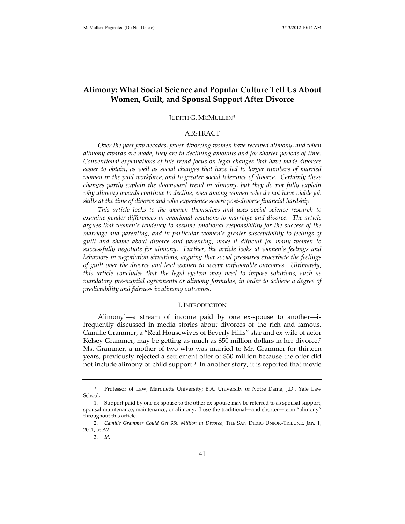# **Alimony: What Social Science and Popular Culture Tell Us About Women, Guilt, and Spousal Support After Divorce**

#### JUDITH G. MCMULLEN\*

#### ABSTRACT

*Over the past few decades, fewer divorcing women have received alimony, and when alimony awards are made, they are in declining amounts and for shorter periods of time. Conventional explanations of this trend focus on legal changes that have made divorces easier to obtain, as well as social changes that have led to larger numbers of married women in the paid workforce, and to greater social tolerance of divorce. Certainly these changes partly explain the downward trend in alimony, but they do not fully explain why alimony awards continue to decline, even among women who do not have viable job skills at the time of divorce and who experience severe post-divorce financial hardship.* 

*This article looks to the women themselves and uses social science research to*  examine gender differences in emotional reactions to marriage and divorce. The article *argues that women's tendency to assume emotional responsibility for the success of the marriage and parenting, and in particular women's greater susceptibility to feelings of guilt and shame about divorce and parenting, make it difficult for many women to successfully negotiate for alimony. Further, the article looks at women's feelings and behaviors in negotiation situations, arguing that social pressures exacerbate the feelings of guilt over the divorce and lead women to accept unfavorable outcomes. Ultimately, this article concludes that the legal system may need to impose solutions, such as mandatory pre-nuptial agreements or alimony formulas, in order to achieve a degree of predictability and fairness in alimony outcomes.* 

#### I. INTRODUCTION

Alimony<sup>1</sup>—a stream of income paid by one ex-spouse to another—is frequently discussed in media stories about divorces of the rich and famous. Camille Grammer, a "Real Housewives of Beverly Hills" star and ex-wife of actor Kelsey Grammer, may be getting as much as \$50 million dollars in her divorce.<sup>2</sup> Ms. Grammer, a mother of two who was married to Mr. Grammer for thirteen years, previously rejected a settlement offer of \$30 million because the offer did not include alimony or child support.3 In another story, it is reported that movie

Professor of Law, Marquette University; B.A, University of Notre Dame; J.D., Yale Law School.

 <sup>1.</sup> Support paid by one ex-spouse to the other ex-spouse may be referred to as spousal support, spousal maintenance, maintenance, or alimony. I use the traditional—and shorter—term "alimony" throughout this article.

 <sup>2.</sup> *Camille Grammer Could Get \$50 Million in Divorce*, THE SAN DIEGO UNION-TRIBUNE, Jan. 1, 2011, at A2.

 <sup>3.</sup> *Id.*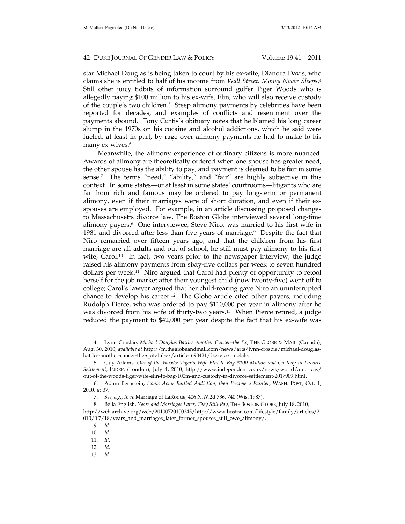star Michael Douglas is being taken to court by his ex-wife, Diandra Davis, who claims she is entitled to half of his income from *Wall Street: Money Never Sleeps*.4 Still other juicy tidbits of information surround golfer Tiger Woods who is allegedly paying \$100 million to his ex-wife, Elin, who will also receive custody of the couple's two children.5 Steep alimony payments by celebrities have been reported for decades, and examples of conflicts and resentment over the payments abound. Tony Curtis's obituary notes that he blamed his long career slump in the 1970s on his cocaine and alcohol addictions, which he said were fueled, at least in part, by rage over alimony payments he had to make to his many ex-wives.<sup>6</sup>

Meanwhile, the alimony experience of ordinary citizens is more nuanced. Awards of alimony are theoretically ordered when one spouse has greater need, the other spouse has the ability to pay, and payment is deemed to be fair in some sense.<sup>7</sup> The terms "need," "ability," and "fair" are highly subjective in this context. In some states—or at least in some states' courtrooms—litigants who are far from rich and famous may be ordered to pay long-term or permanent alimony, even if their marriages were of short duration, and even if their exspouses are employed. For example, in an article discussing proposed changes to Massachusetts divorce law, The Boston Globe interviewed several long-time alimony payers.8 One interviewee, Steve Niro, was married to his first wife in 1981 and divorced after less than five years of marriage.<sup>9</sup> Despite the fact that Niro remarried over fifteen years ago, and that the children from his first marriage are all adults and out of school, he still must pay alimony to his first wife, Carol.<sup>10</sup> In fact, two years prior to the newspaper interview, the judge raised his alimony payments from sixty-five dollars per week to seven hundred dollars per week.11 Niro argued that Carol had plenty of opportunity to retool herself for the job market after their youngest child (now twenty-five) went off to college; Carol's lawyer argued that her child-rearing gave Niro an uninterrupted chance to develop his career.<sup>12</sup> The Globe article cited other payers, including Rudolph Pierce, who was ordered to pay \$110,000 per year in alimony after he was divorced from his wife of thirty-two years.<sup>13</sup> When Pierce retired, a judge reduced the payment to \$42,000 per year despite the fact that his ex-wife was

010/0 7/18/years\_and\_marriages\_later\_former\_spouses\_still\_owe\_alimony/.

 <sup>4.</sup> Lynn Crosbie, *Michael Douglas Battles Another Cancer–the Ex*, THE GLOBE & MAIL (Canada), Aug. 30, 2010, *available at* http://m.theglobeandmail.com/news/arts/lynn-crosbie/michael-douglasbattles-another-cancer-the-spiteful-ex/article1690421/?service=mobile.

 <sup>5.</sup> Guy Adams, *Out of the Woods: Tiger's Wife Elin to Bag \$100 Million and Custody in Divorce Settlement*, INDEP. (London), July 4, 2010, http://www.independent.co.uk/news/world/americas/ out-of-the-woods-tiger-wife-elin-to-bag-100m-and-custody-in-divorce-settlement-2017909.html.

 <sup>6.</sup> Adam Bernstein, *Iconic Actor Battled Addiction, then Became a Painter*, WASH. POST, Oct. 1, 2010, at B7.

 <sup>7.</sup> *See*, *e.g.*, *In re* Marriage of LaRoque, 406 N.W.2d 736, 740 (Wis. 1987).

 <sup>8.</sup> Bella English, *Years and Marriages Later, They Still Pay*, THE BOSTON GLOBE, July 18, 2010, http://web.archive.org/web/20100720100245/http://www.boston.com/lifestyle/family/articles/2

 <sup>9.</sup> *Id.*

 <sup>10.</sup> *Id.* 

 <sup>11.</sup> *Id.* 

 <sup>12.</sup> *Id.*

 <sup>13.</sup> *Id.*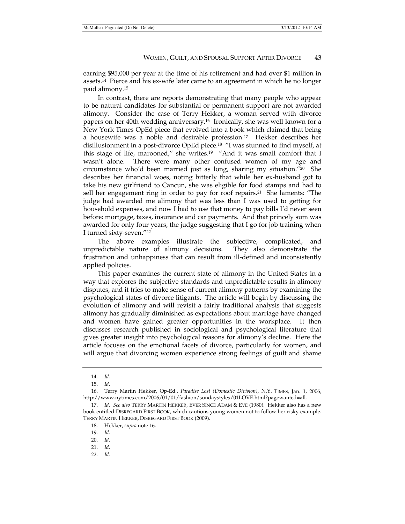earning \$95,000 per year at the time of his retirement and had over \$1 million in assets.<sup>14</sup> Pierce and his ex-wife later came to an agreement in which he no longer paid alimony.15

In contrast, there are reports demonstrating that many people who appear to be natural candidates for substantial or permanent support are not awarded alimony. Consider the case of Terry Hekker, a woman served with divorce papers on her 40th wedding anniversary.16 Ironically, she was well known for a New York Times OpEd piece that evolved into a book which claimed that being a housewife was a noble and desirable profession.17 Hekker describes her disillusionment in a post-divorce OpEd piece.18 "I was stunned to find myself, at this stage of life, marooned," she writes.<sup>19</sup> "And it was small comfort that I wasn't alone. There were many other confused women of my age and circumstance who'd been married just as long, sharing my situation." $^{20}$  She describes her financial woes, noting bitterly that while her ex-husband got to take his new girlfriend to Cancun, she was eligible for food stamps and had to sell her engagement ring in order to pay for roof repairs.21 She laments: "The judge had awarded me alimony that was less than I was used to getting for household expenses, and now I had to use that money to pay bills I'd never seen before: mortgage, taxes, insurance and car payments. And that princely sum was awarded for only four years, the judge suggesting that I go for job training when I turned sixty-seven."22

The above examples illustrate the subjective, complicated, and unpredictable nature of alimony decisions. They also demonstrate the frustration and unhappiness that can result from ill-defined and inconsistently applied policies.

This paper examines the current state of alimony in the United States in a way that explores the subjective standards and unpredictable results in alimony disputes, and it tries to make sense of current alimony patterns by examining the psychological states of divorce litigants. The article will begin by discussing the evolution of alimony and will revisit a fairly traditional analysis that suggests alimony has gradually diminished as expectations about marriage have changed and women have gained greater opportunities in the workplace. It then discusses research published in sociological and psychological literature that gives greater insight into psychological reasons for alimony's decline. Here the article focuses on the emotional facets of divorce, particularly for women, and will argue that divorcing women experience strong feelings of guilt and shame

 <sup>14.</sup> *Id.* 

 <sup>15.</sup> *Id.*

 <sup>16.</sup> Terry Martin Hekker, Op-Ed., *Paradise Lost (Domestic Division)*, N.Y. TIMES, Jan. 1, 2006*,*  http://www.nytimes.com/2006/01/01/fashion/sundaystyles/01LOVE.html?pagewanted=all*.*

 <sup>17.</sup> *Id. See also* TERRY MARTIN HEKKER, EVER SINCE ADAM & EVE (1980). Hekker also has a new book entitled DISREGARD FIRST BOOK, which cautions young women not to follow her risky example. TERRY MARTIN HEKKER, DISREGARD FIRST BOOK (2009).

 <sup>18.</sup> Hekker, *supra* note 16.

 <sup>19.</sup> *Id.* 

 <sup>20.</sup> *Id.*

 <sup>21.</sup> *Id.* 

 <sup>22.</sup> *Id.*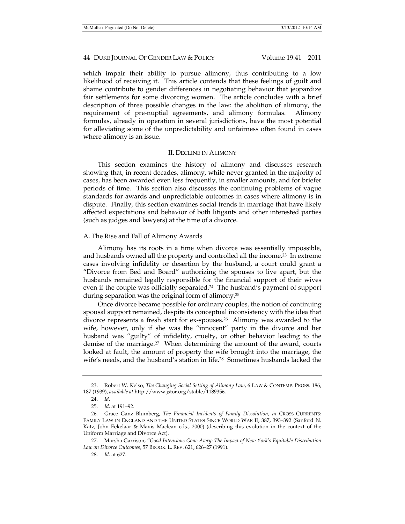which impair their ability to pursue alimony, thus contributing to a low likelihood of receiving it. This article contends that these feelings of guilt and shame contribute to gender differences in negotiating behavior that jeopardize fair settlements for some divorcing women. The article concludes with a brief description of three possible changes in the law: the abolition of alimony, the requirement of pre-nuptial agreements, and alimony formulas. Alimony formulas, already in operation in several jurisdictions, have the most potential for alleviating some of the unpredictability and unfairness often found in cases where alimony is an issue.

#### II. DECLINE IN ALIMONY

This section examines the history of alimony and discusses research showing that, in recent decades, alimony, while never granted in the majority of cases, has been awarded even less frequently, in smaller amounts, and for briefer periods of time. This section also discusses the continuing problems of vague standards for awards and unpredictable outcomes in cases where alimony is in dispute. Finally, this section examines social trends in marriage that have likely affected expectations and behavior of both litigants and other interested parties (such as judges and lawyers) at the time of a divorce.

#### A. The Rise and Fall of Alimony Awards

Alimony has its roots in a time when divorce was essentially impossible, and husbands owned all the property and controlled all the income.23 In extreme cases involving infidelity or desertion by the husband, a court could grant a "Divorce from Bed and Board" authorizing the spouses to live apart, but the husbands remained legally responsible for the financial support of their wives even if the couple was officially separated.<sup>24</sup> The husband's payment of support during separation was the original form of alimony.25

Once divorce became possible for ordinary couples, the notion of continuing spousal support remained, despite its conceptual inconsistency with the idea that divorce represents a fresh start for ex-spouses.26 Alimony was awarded to the wife, however, only if she was the "innocent" party in the divorce and her husband was "guilty" of infidelity, cruelty, or other behavior leading to the demise of the marriage.<sup>27</sup> When determining the amount of the award, courts looked at fault, the amount of property the wife brought into the marriage, the wife's needs, and the husband's station in life.<sup>28</sup> Sometimes husbands lacked the

 <sup>23.</sup> Robert W. Kelso, *The Changing Social Setting of Alimony Law*, 6 LAW & CONTEMP. PROBS. 186, 187 (1939), *available at* http://www.jstor.org/stable/1189356.

 <sup>24.</sup> *Id.*

 <sup>25.</sup> *Id.* at 191–92.

 <sup>26.</sup> Grace Ganz Blumberg, *The Financial Incidents of Family Dissolution, in* CROSS CURRENTS: FAMILY LAW IN ENGLAND AND THE UNITED STATES SINCE WORLD WAR II, 387, 393–392 (Sanford N. Katz, John Eekelaar & Mavis Maclean eds., 2000) (describing this evolution in the context of the Uniform Marriage and Divorce Act).

 <sup>27.</sup> Marsha Garrison, "*Good Intentions Gone Awry: The Impact of New York's Equitable Distribution Law on Divorce Outcomes*, 57 BROOK. L. REV. 621, 626–27 (1991).

 <sup>28.</sup> *Id.* at 627.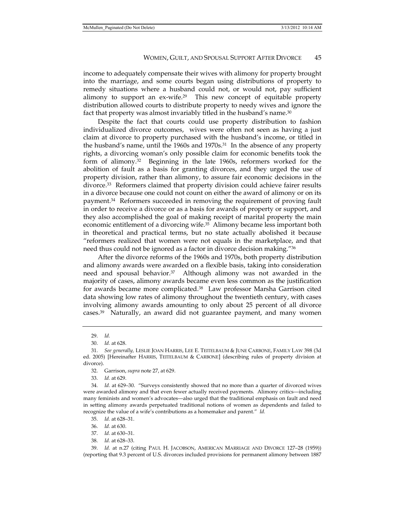income to adequately compensate their wives with alimony for property brought into the marriage, and some courts began using distributions of property to remedy situations where a husband could not, or would not, pay sufficient alimony to support an ex-wife.29 This new concept of equitable property distribution allowed courts to distribute property to needy wives and ignore the fact that property was almost invariably titled in the husband's name.30

Despite the fact that courts could use property distribution to fashion individualized divorce outcomes, wives were often not seen as having a just claim at divorce to property purchased with the husband's income, or titled in the husband's name, until the 1960s and  $1970s<sup>31</sup>$  In the absence of any property rights, a divorcing woman's only possible claim for economic benefits took the form of alimony.32 Beginning in the late 1960s, reformers worked for the abolition of fault as a basis for granting divorces, and they urged the use of property division, rather than alimony, to assure fair economic decisions in the divorce.33 Reformers claimed that property division could achieve fairer results in a divorce because one could not count on either the award of alimony or on its payment.34 Reformers succeeded in removing the requirement of proving fault in order to receive a divorce or as a basis for awards of property or support, and they also accomplished the goal of making receipt of marital property the main economic entitlement of a divorcing wife.<sup>35</sup> Alimony became less important both in theoretical and practical terms, but no state actually abolished it because "reformers realized that women were not equals in the marketplace, and that need thus could not be ignored as a factor in divorce decision making."36

After the divorce reforms of the 1960s and 1970s, both property distribution and alimony awards were awarded on a flexible basis, taking into consideration need and spousal behavior.<sup>37</sup> Although alimony was not awarded in the majority of cases, alimony awards became even less common as the justification for awards became more complicated.38 Law professor Marsha Garrison cited data showing low rates of alimony throughout the twentieth century, with cases involving alimony awards amounting to only about 25 percent of all divorce cases.39 Naturally, an award did not guarantee payment, and many women

33. *Id.* at 629.

 34. *Id.* at 629–30. "Surveys consistently showed that no more than a quarter of divorced wives were awarded alimony and that even fewer actually received payments. Alimony critics—including many feminists and women's advocates—also urged that the traditional emphasis on fault and need in setting alimony awards perpetuated traditional notions of women as dependents and failed to recognize the value of a wife's contributions as a homemaker and parent." *Id.* 

35. *Id.* at 628–31.

37. *Id.* at 630–31.

38. *Id.* at 628–33.

 39. *Id.* at n.27 (citing PAUL H. JACOBSON, AMERICAN MARRIAGE AND DIVORCE 127–28 (1959)) (reporting that 9.3 percent of U.S. divorces included provisions for permanent alimony between 1887

 <sup>29.</sup> *Id.*

 <sup>30.</sup> *Id.* at 628.

 <sup>31.</sup> *See generally,* LESLIE JOAN HARRIS, LEE E. TEITELBAUM & JUNE CARBONE, FAMILY LAW 398 (3d ed. 2005) [Hereinafter HARRIS, TEITELBAUM & CARBONE] (describing rules of property division at divorce).

 <sup>32.</sup> Garrison, *supra* note 27, at 629.

 <sup>36.</sup> *Id.* at 630.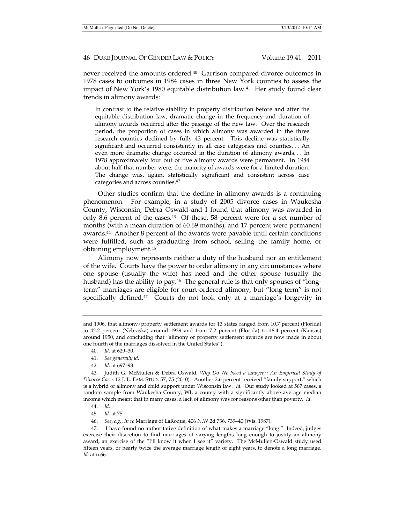never received the amounts ordered.40 Garrison compared divorce outcomes in 1978 cases to outcomes in 1984 cases in three New York counties to assess the impact of New York's 1980 equitable distribution law.41 Her study found clear trends in alimony awards:

In contrast to the relative stability in property distribution before and after the equitable distribution law, dramatic change in the frequency and duration of alimony awards occurred after the passage of the new law. Over the research period, the proportion of cases in which alimony was awarded in the three research counties declined by fully 43 percent. This decline was statistically significant and occurred consistently in all case categories and counties. . . An even more dramatic change occurred in the duration of alimony awards. . . In 1978 approximately four out of five alimony awards were permanent. In 1984 about half that number were; the majority of awards were for a limited duration. The change was, again, statistically significant and consistent across case categories and across counties.42

Other studies confirm that the decline in alimony awards is a continuing phenomenon. For example, in a study of 2005 divorce cases in Waukesha County, Wisconsin, Debra Oswald and I found that alimony was awarded in only 8.6 percent of the cases.43 Of these, 58 percent were for a set number of months (with a mean duration of 60.69 months), and 17 percent were permanent awards.44 Another 8 percent of the awards were payable until certain conditions were fulfilled, such as graduating from school, selling the family home, or obtaining employment.45

Alimony now represents neither a duty of the husband nor an entitlement of the wife. Courts have the power to order alimony in any circumstances where one spouse (usually the wife) has need and the other spouse (usually the husband) has the ability to pay.<sup>46</sup> The general rule is that only spouses of "longterm" marriages are eligible for court-ordered alimony, but "long-term" is not specifically defined.<sup>47</sup> Courts do not look only at a marriage's longevity in

- 40. *Id.* at 629–30.
- 41. *See generally id.*
- 42. *Id.* at 697–98.

45. *Id.* at 75.

46. *See*, *e.g.*, *In re* Marriage of LaRoque, 406 N.W.2d 736, 739–40 (Wis. 1987).

and 1906, that alimony/property settlement awards for 13 states ranged from 10.7 percent (Florida) to 42.2 percent (Nebraska) around 1939 and from 7.2 percent (Florida) to 48.4 percent (Kansas) around 1950, and concluding that "alimony or property settlement awards are now made in about one fourth of the marriages dissolved in the United States").

 <sup>43.</sup> Judith G. McMullen & Debra Oswald, *Why Do We Need a Lawyer?: An Empirical Study of Divorce Cases* 12 J. L. FAM. STUD. 57, 75 (2010). Another 2.6 percent received "family support," which is a hybrid of alimony and child support under Wisconsin law. *Id.* Our study looked at 567 cases, a random sample from Waukesha County, WI, a county with a significantly above average median income which meant that in many cases, a lack of alimony was for reasons other than poverty. *Id.* 

 <sup>44.</sup> *Id.*

 <sup>47.</sup> I have found no authoritative definition of what makes a marriage "long." Indeed, judges exercise their discretion to find marriages of varying lengths long enough to justify an alimony award, an exercise of the "I'll know it when I see it" variety. The McMullen-Oswald study used fifteen years, or nearly twice the average marriage length of eight years, to denote a long marriage. *Id.* at n.66.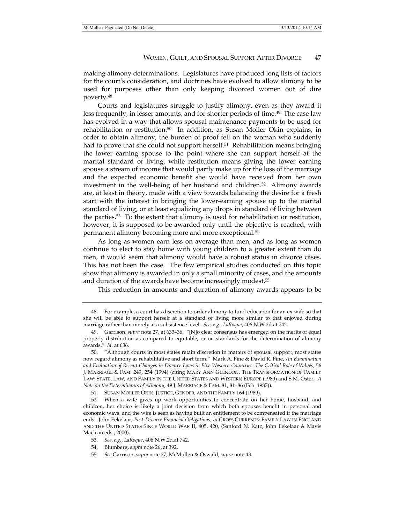making alimony determinations. Legislatures have produced long lists of factors for the court's consideration, and doctrines have evolved to allow alimony to be used for purposes other than only keeping divorced women out of dire poverty.48

Courts and legislatures struggle to justify alimony, even as they award it less frequently, in lesser amounts, and for shorter periods of time.49 The case law has evolved in a way that allows spousal maintenance payments to be used for rehabilitation or restitution. $50$  In addition, as Susan Moller Okin explains, in order to obtain alimony, the burden of proof fell on the woman who suddenly had to prove that she could not support herself.<sup>51</sup> Rehabilitation means bringing the lower earning spouse to the point where she can support herself at the marital standard of living, while restitution means giving the lower earning spouse a stream of income that would partly make up for the loss of the marriage and the expected economic benefit she would have received from her own investment in the well-being of her husband and children.52 Alimony awards are, at least in theory, made with a view towards balancing the desire for a fresh start with the interest in bringing the lower-earning spouse up to the marital standard of living, or at least equalizing any drops in standard of living between the parties.53 To the extent that alimony is used for rehabilitation or restitution, however, it is supposed to be awarded only until the objective is reached, with permanent alimony becoming more and more exceptional.54

As long as women earn less on average than men, and as long as women continue to elect to stay home with young children to a greater extent than do men, it would seem that alimony would have a robust status in divorce cases. This has not been the case. The few empirical studies conducted on this topic show that alimony is awarded in only a small minority of cases, and the amounts and duration of the awards have become increasingly modest.<sup>55</sup>

This reduction in amounts and duration of alimony awards appears to be

51. SUSAN MOLLER OKIN, JUSTICE, GENDER, AND THE FAMILY 164 (1989).

 52. When a wife gives up work opportunities to concentrate on her home, husband, and children, her choice is likely a joint decision from which both spouses benefit in personal and economic ways, and the wife is seen as having built an entitlement to be compensated if the marriage ends. John Eekelaar, *Post-Divorce Financial Obligations, in* CROSS CURRENTS: FAMILY LAW IN ENGLAND AND THE UNITED STATES SINCE WORLD WAR II, 405, 420, (Sanford N. Katz, John Eekelaar & Mavis Maclean eds., 2000).

- 53. *See*, *e.g.*, *LaRoque*, 406 N.W.2d*.*at 742.
- 54. Blumberg, *supra* note 26, at 392.
- 55. *See* Garrison, *supra* note 27; McMullen & Oswald, *supra* note 43.

 <sup>48.</sup> For example, a court has discretion to order alimony to fund education for an ex-wife so that she will be able to support herself at a standard of living more similar to that enjoyed during marriage rather than merely at a subsistence level. *See*, *e.g.*, *LaRoque*, 406 N.W.2d*.*at 742.

 <sup>49.</sup> Garrison, *supra* note 27, at 633–36. "[N]o clear consensus has emerged on the merits of equal property distribution as compared to equitable, or on standards for the determination of alimony awards." *Id.* at 636.

 <sup>50. &</sup>quot;Although courts in most states retain discretion in matters of spousal support, most states now regard alimony as rehabilitative and short term." Mark A. Fine & David R. Fine, *An Examination and Evaluation of Recent Changes in Divorce Laws in Five Western Countries: The Critical Role of Values*, 56 J. MARRIAGE & FAM. 249, 254 (1994) (citing MARY ANN GLENDON, THE TRANSFORMATION OF FAMILY LAW: STATE, LAW, AND FAMILY IN THE UNITED STATES AND WESTERN EUROPE (1989) and S.M. Oster, *A Note on the Determinants of Alimony*, 49 J. MARRIAGE & FAM. 81, 81–86 (Feb. 1987)).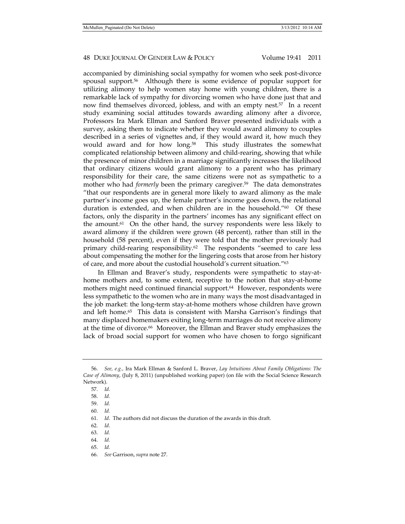accompanied by diminishing social sympathy for women who seek post-divorce spousal support.56 Although there is some evidence of popular support for utilizing alimony to help women stay home with young children, there is a remarkable lack of sympathy for divorcing women who have done just that and now find themselves divorced, jobless, and with an empty nest.57 In a recent study examining social attitudes towards awarding alimony after a divorce, Professors Ira Mark Ellman and Sanford Braver presented individuals with a survey, asking them to indicate whether they would award alimony to couples described in a series of vignettes and, if they would award it, how much they would award and for how long.<sup>58</sup> This study illustrates the somewhat complicated relationship between alimony and child-rearing, showing that while the presence of minor children in a marriage significantly increases the likelihood that ordinary citizens would grant alimony to a parent who has primary responsibility for their care, the same citizens were not as sympathetic to a mother who had *formerly* been the primary caregiver.59 The data demonstrates "that our respondents are in general more likely to award alimony as the male partner's income goes up, the female partner's income goes down, the relational duration is extended, and when children are in the household."60 Of these factors, only the disparity in the partners' incomes has any significant effect on the amount.<sup>61</sup> On the other hand, the survey respondents were less likely to award alimony if the children were grown (48 percent), rather than still in the household (58 percent), even if they were told that the mother previously had primary child-rearing responsibility.<sup>62</sup> The respondents "seemed to care less about compensating the mother for the lingering costs that arose from her history of care, and more about the custodial household's current situation."63

In Ellman and Braver's study, respondents were sympathetic to stay-athome mothers and, to some extent, receptive to the notion that stay-at-home mothers might need continued financial support.<sup>64</sup> However, respondents were less sympathetic to the women who are in many ways the most disadvantaged in the job market: the long-term stay-at-home mothers whose children have grown and left home.<sup>65</sup> This data is consistent with Marsha Garrison's findings that many displaced homemakers exiting long-term marriages do not receive alimony at the time of divorce.<sup>66</sup> Moreover, the Ellman and Braver study emphasizes the lack of broad social support for women who have chosen to forgo significant

- 59. *Id.*
- 60. *Id.*

- 62. *Id*.
- 63. *Id.*
- 64. *Id.*
- 65. *Id.*
- 66. *See* Garrison, *supra* note 27.

 <sup>56.</sup> *See, e.g.,* Ira Mark Ellman & Sanford L. Braver, *Lay Intuitions About Family Obligations: The Case of Alimony*, (July 8, 2011) (unpublished working paper) (on file with the Social Science Research Network).

 <sup>57.</sup> *Id.*

 <sup>58.</sup> *Id.*

 <sup>61.</sup> *Id*. The authors did not discuss the duration of the awards in this draft.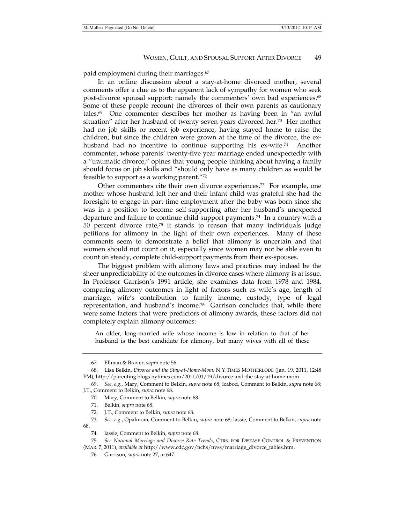paid employment during their marriages.67

In an online discussion about a stay-at-home divorced mother, several comments offer a clue as to the apparent lack of sympathy for women who seek post-divorce spousal support: namely the commenters' own bad experiences.68 Some of these people recount the divorces of their own parents as cautionary tales.69 One commenter describes her mother as having been in "an awful situation" after her husband of twenty-seven years divorced her.<sup>70</sup> Her mother had no job skills or recent job experience, having stayed home to raise the children, but since the children were grown at the time of the divorce, the exhusband had no incentive to continue supporting his ex-wife.<sup>71</sup> Another commenter, whose parents' twenty-five year marriage ended unexpectedly with a "traumatic divorce," opines that young people thinking about having a family should focus on job skills and "should only have as many children as would be feasible to support as a working parent."72

Other commenters cite their own divorce experiences.<sup>73</sup> For example, one mother whose husband left her and their infant child was grateful she had the foresight to engage in part-time employment after the baby was born since she was in a position to become self-supporting after her husband's unexpected departure and failure to continue child support payments.74 In a country with a 50 percent divorce rate, $75$  it stands to reason that many individuals judge petitions for alimony in the light of their own experiences. Many of these comments seem to demonstrate a belief that alimony is uncertain and that women should not count on it, especially since women may not be able even to count on steady, complete child-support payments from their ex-spouses.

The biggest problem with alimony laws and practices may indeed be the sheer unpredictability of the outcomes in divorce cases where alimony is at issue. In Professor Garrison's 1991 article, she examines data from 1978 and 1984, comparing alimony outcomes in light of factors such as wife's age, length of marriage, wife's contribution to family income, custody, type of legal representation, and husband's income.76 Garrison concludes that, while there were some factors that were predictors of alimony awards, these factors did not completely explain alimony outcomes:

An older, long-married wife whose income is low in relation to that of her husband is the best candidate for alimony, but many wives with all of these

 <sup>67.</sup> Ellman & Braver, *supra* note 56.

 <sup>68.</sup> Lisa Belkin, *Divorce and the Stay-at-Home-Mom,* N.Y.TIMES MOTHERLODE (Jan. 19, 2011, 12:48 PM), http://parenting.blogs.nytimes.com/2011/01/19/divorce-and-the-stay-at-home-mom.

 <sup>69.</sup> *See, e.g.,* Mary, Comment to Belkin, *supra* note 68; Icabod, Comment to Belkin, *supra* note 68; J.T., Comment to Belkin, *supra* note 68.

<sup>70</sup>*.* Mary, Comment to Belkin, *supra* note 68.

 <sup>71.</sup> Belkin, *supra* note 68.

 <sup>72.</sup> J.T., Comment to Belkin, *supra* note 68.

 <sup>73.</sup> *See, e.g.*, Opalmom, Comment to Belkin, *supra* note 68; lassie, Comment to Belkin, *supra* note 68.

<sup>74</sup>*.* lassie, Comment to Belkin, *supra* note 68.

 <sup>75.</sup> *See National Marriage and Divorce Rate Trends*, CTRS. FOR DISEASE CONTROL & PREVENTION (MAR. 7, 2011), *available at* http://www.cdc.gov/nchs/nvss/marriage\_divorce\_tables.htm.

 <sup>76.</sup> Garrison, *supra* note 27, at 647.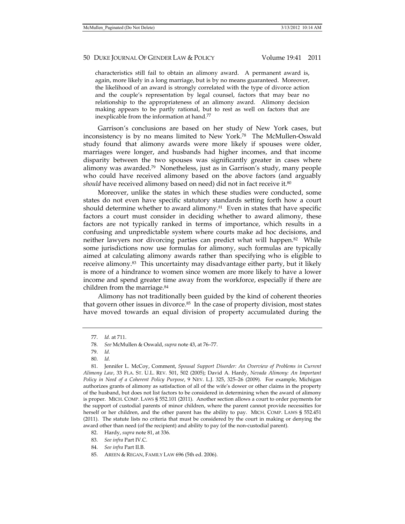characteristics still fail to obtain an alimony award. A permanent award is, again, more likely in a long marriage, but is by no means guaranteed. Moreover, the likelihood of an award is strongly correlated with the type of divorce action and the couple's representation by legal counsel, factors that may bear no relationship to the appropriateness of an alimony award. Alimony decision making appears to be partly rational, but to rest as well on factors that are inexplicable from the information at hand.77

Garrison's conclusions are based on her study of New York cases, but inconsistency is by no means limited to New York.78 The McMullen-Oswald study found that alimony awards were more likely if spouses were older, marriages were longer, and husbands had higher incomes, and that income disparity between the two spouses was significantly greater in cases where alimony was awarded.79 Nonetheless, just as in Garrison's study, many people who could have received alimony based on the above factors (and arguably *should* have received alimony based on need) did not in fact receive it.<sup>80</sup>

Moreover, unlike the states in which these studies were conducted, some states do not even have specific statutory standards setting forth how a court should determine whether to award alimony. $81$  Even in states that have specific factors a court must consider in deciding whether to award alimony, these factors are not typically ranked in terms of importance, which results in a confusing and unpredictable system where courts make ad hoc decisions, and neither lawyers nor divorcing parties can predict what will happen.82 While some jurisdictions now use formulas for alimony, such formulas are typically aimed at calculating alimony awards rather than specifying who is eligible to receive alimony.<sup>83</sup> This uncertainty may disadvantage either party, but it likely is more of a hindrance to women since women are more likely to have a lower income and spend greater time away from the workforce, especially if there are children from the marriage.84

Alimony has not traditionally been guided by the kind of coherent theories that govern other issues in divorce. $85$  In the case of property division, most states have moved towards an equal division of property accumulated during the

 <sup>77.</sup> *Id.* at 711.

 <sup>78.</sup> *See* McMullen & Oswald, *supra* note 43, at 76–77.

 <sup>79.</sup> *Id.* 

 <sup>80.</sup> *Id.*

 <sup>81.</sup> Jennifer L. McCoy, Comment, *Spousal Support Disorder: An Overview of Problems in Current Alimony Law*, 33 FLA. ST. U.L. REV. 501, 502 (2005); David A. Hardy, *Nevada Alimony: An Important Policy in Need of a Coherent Policy Purpose*, 9 NEV. L.J. 325, 325–26 (2009). For example, Michigan authorizes grants of alimony as satisfaction of all of the wife's dower or other claims in the property of the husband, but does not list factors to be considered in determining when the award of alimony is proper. MICH. COMP. LAWS § 552.101 (2011). Another section allows a court to order payments for the support of custodial parents of minor children, where the parent cannot provide necessities for herself or her children, and the other parent has the ability to pay. MICH. COMP. LAWS § 552.451 (2011). The statute lists no criteria that must be considered by the court in making or denying the award other than need (of the recipient) and ability to pay (of the non-custodial parent).

 <sup>82.</sup> Hardy, *supra* note 81, at 336.

 <sup>83.</sup> *See infra* Part IV.C.

 <sup>84.</sup> *See infra* Part II.B.

 <sup>85.</sup> AREEN & REGAN, FAMILY LAW 696 (5th ed. 2006).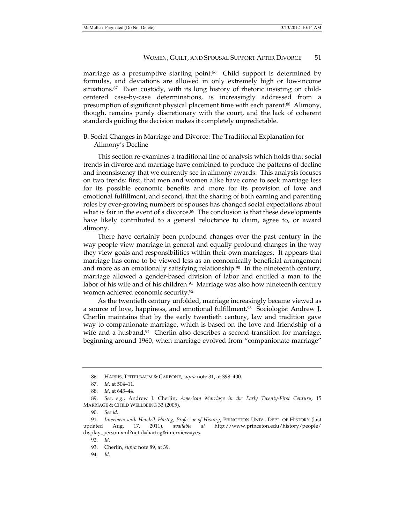marriage as a presumptive starting point.<sup>86</sup> Child support is determined by formulas, and deviations are allowed in only extremely high or low-income situations.87 Even custody, with its long history of rhetoric insisting on childcentered case-by-case determinations, is increasingly addressed from a presumption of significant physical placement time with each parent.88 Alimony, though, remains purely discretionary with the court, and the lack of coherent standards guiding the decision makes it completely unpredictable.

#### B. Social Changes in Marriage and Divorce: The Traditional Explanation for Alimony's Decline

This section re-examines a traditional line of analysis which holds that social trends in divorce and marriage have combined to produce the patterns of decline and inconsistency that we currently see in alimony awards. This analysis focuses on two trends: first, that men and women alike have come to seek marriage less for its possible economic benefits and more for its provision of love and emotional fulfillment, and second, that the sharing of both earning and parenting roles by ever-growing numbers of spouses has changed social expectations about what is fair in the event of a divorce.<sup>89</sup> The conclusion is that these developments have likely contributed to a general reluctance to claim, agree to, or award alimony.

There have certainly been profound changes over the past century in the way people view marriage in general and equally profound changes in the way they view goals and responsibilities within their own marriages. It appears that marriage has come to be viewed less as an economically beneficial arrangement and more as an emotionally satisfying relationship.<sup>90</sup> In the nineteenth century, marriage allowed a gender-based division of labor and entitled a man to the labor of his wife and of his children.<sup>91</sup> Marriage was also how nineteenth century women achieved economic security.92

As the twentieth century unfolded, marriage increasingly became viewed as a source of love, happiness, and emotional fulfillment.93 Sociologist Andrew J. Cherlin maintains that by the early twentieth century, law and tradition gave way to companionate marriage, which is based on the love and friendship of a wife and a husband.<sup>94</sup> Cherlin also describes a second transition for marriage, beginning around 1960, when marriage evolved from "companionate marriage"

94. *Id.*

 <sup>86.</sup> HARRIS, TEITELBAUM & CARBONE, *supra* note 31, at 398–400.

 <sup>87.</sup> *Id.* at 504–11.

 <sup>88.</sup> *Id.* at 643–44.

 <sup>89.</sup> *See*, *e.g.*, Andrew J. Cherlin, *American Marriage in the Early Twenty-First Century*, 15 MARRIAGE & CHILD WELLBEING 33 (2005).

 <sup>90.</sup> *See id.*

 <sup>91.</sup> *Interview with Hendrik Hartog, Professor of History,* PRINCETON UNIV., DEPT. OF HISTORY (last updated Aug. 17, 2011), *available at* http://www.princeton.edu/history/people/ display\_person.xml?netid=hartog&interview=yes.

 <sup>92.</sup> *Id.* 

 <sup>93.</sup> Cherlin, *supra* note 89, at 39.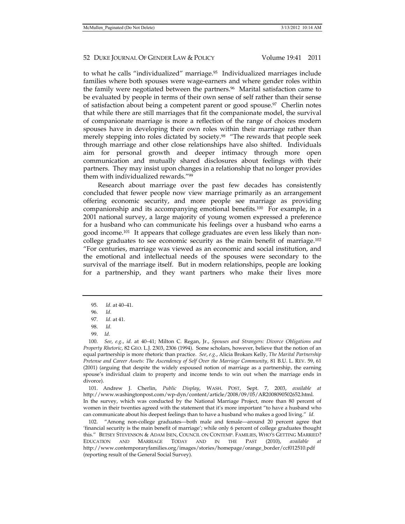to what he calls "individualized" marriage.95 Individualized marriages include families where both spouses were wage-earners and where gender roles within the family were negotiated between the partners.96 Marital satisfaction came to be evaluated by people in terms of their own sense of self rather than their sense of satisfaction about being a competent parent or good spouse.97 Cherlin notes that while there are still marriages that fit the companionate model, the survival of companionate marriage is more a reflection of the range of choices modern spouses have in developing their own roles within their marriage rather than merely stepping into roles dictated by society.<sup>98</sup> "The rewards that people seek through marriage and other close relationships have also shifted. Individuals aim for personal growth and deeper intimacy through more open communication and mutually shared disclosures about feelings with their partners. They may insist upon changes in a relationship that no longer provides them with individualized rewards."99

Research about marriage over the past few decades has consistently concluded that fewer people now view marriage primarily as an arrangement offering economic security, and more people see marriage as providing companionship and its accompanying emotional benefits.100 For example, in a 2001 national survey, a large majority of young women expressed a preference for a husband who can communicate his feelings over a husband who earns a good income.101 It appears that college graduates are even less likely than noncollege graduates to see economic security as the main benefit of marriage.102 "For centuries, marriage was viewed as an economic and social institution, and the emotional and intellectual needs of the spouses were secondary to the survival of the marriage itself. But in modern relationships, people are looking for a partnership, and they want partners who make their lives more

 100. *See*, *e.g.*, *id.* at 40–41; Milton C. Regan, Jr., *Spouses and Strangers: Divorce Obligations and Property Rhetoric*, 82 GEO. L.J. 2303, 2306 (1994). Some scholars, however, believe that the notion of an equal partnership is more rhetoric than practice. *See*, *e.g.*, Alicia Brokars Kelly, *The Marital Partnership Pretense and Career Assets: The Ascendency of Self Over the Marriage Community*, 81 B.U. L. REV. 59, 61 (2001) (arguing that despite the widely espoused notion of marriage as a partnership, the earning spouse's individual claim to property and income tends to win out when the marriage ends in divorce).

 101. Andrew J. Cherlin, *Public Display*, WASH. POST, Sept. 7, 2003, *available at* http://www.washingtonpost.com/wp-dyn/content/article/2008/09/05/AR2008090502652.html. In the survey, which was conducted by the National Marriage Project, more than 80 percent of women in their twenties agreed with the statement that it's more important "to have a husband who can communicate about his deepest feelings than to have a husband who makes a good living." *Id.*

 102. "Among non-college graduates—both male and female—around 20 percent agree that 'financial security is the main benefit of marriage'; while only 6 percent of college graduates thought this." BETSEY STEVENSON & ADAM ISEN, COUNCIL ON CONTEMP. FAMILIES, WHO'S GETTING MARRIED? EDUCATION AND MARRIAGE TODAY AND IN THE PAST (2010), *available at*  http://www.contemporaryfamilies.org/images/stories/homepage/orange\_border/ccf012510.pdf (reporting result of the General Social Survey).

 <sup>95.</sup> *Id.* at 40–41.

 <sup>96.</sup> *Id.*

 <sup>97.</sup> *Id.* at 41.

 <sup>98.</sup> *Id.*

 <sup>99.</sup> *Id.*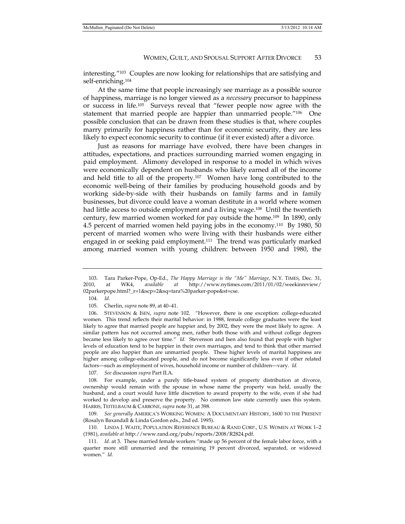interesting."103 Couples are now looking for relationships that are satisfying and self-enriching.104

At the same time that people increasingly see marriage as a possible source of happiness, marriage is no longer viewed as a *necessary* precursor to happiness or success in life.105 Surveys reveal that "fewer people now agree with the statement that married people are happier than unmarried people."106 One possible conclusion that can be drawn from these studies is that, where couples marry primarily for happiness rather than for economic security, they are less likely to expect economic security to continue (if it ever existed) after a divorce.

Just as reasons for marriage have evolved, there have been changes in attitudes, expectations, and practices surrounding married women engaging in paid employment. Alimony developed in response to a model in which wives were economically dependent on husbands who likely earned all of the income and held title to all of the property.<sup>107</sup> Women have long contributed to the economic well-being of their families by producing household goods and by working side-by-side with their husbands on family farms and in family businesses, but divorce could leave a woman destitute in a world where women had little access to outside employment and a living wage.108 Until the twentieth century, few married women worked for pay outside the home.109 In 1890, only 4.5 percent of married women held paying jobs in the economy.110 By 1980, 50 percent of married women who were living with their husbands were either engaged in or seeking paid employment.111 The trend was particularly marked among married women with young children: between 1950 and 1980, the

104. *Id.*

105. Cherlin, *supra* note 89, at 40–41.

107. *See* discussion *supra* Part II.A.

 <sup>103.</sup> Tara Parker-Pope, Op-Ed., *The Happy Marriage is the "Me" Marriage*, N.Y. TIMES, Dec. 31, 2010, at WK4, *available at* http://www.nytimes.com/2011/01/02/weekinreview/ 02parkerpope.html?\_r=1&scp=2&sq=tara%20parker-pope&st=cse.

 <sup>106.</sup> STEVENSON & ISEN, *supra* note 102. "However, there is one exception: college-educated women. This trend reflects their marital behavior: in 1988, female college graduates were the least likely to agree that married people are happier and, by 2002, they were the most likely to agree. A similar pattern has not occurred among men, rather both those with and without college degrees became less likely to agree over time." *Id.* Stevenson and Isen also found that people with higher levels of education tend to be happier in their own marriages, and tend to think that other married people are also happier than are unmarried people. These higher levels of marital happiness are higher among college-educated people, and do not become significantly less even if other related factors—such as employment of wives, household income or number of children—vary. *Id.*

 <sup>108.</sup> For example, under a purely title-based system of property distribution at divorce, ownership would remain with the spouse in whose name the property was held, usually the husband, and a court would have little discretion to award property to the wife, even if she had worked to develop and preserve the property. No common law state currently uses this system. HARRIS, TEITELBAUM & CARBONE, *supra* note 31, at 398.

 <sup>109.</sup> *See generally* AMERICA'S WORKING WOMEN: A DOCUMENTARY HISTORY, 1600 TO THE PRESENT (Rosalyn Baxandall & Linda Gordon eds., 2nd ed. 1995).

 <sup>110.</sup> LINDA J. WAITE, POPULATION REFERENCE BUREAU & RAND CORP., U.S. WOMEN AT WORK 1–2 (1981), *available at* http://www.rand.org/pubs/reports/2008/R2824.pdf.

 <sup>111.</sup> *Id.* at 3. These married female workers "made up 56 percent of the female labor force, with a quarter more still unmarried and the remaining 19 percent divorced, separated, or widowed women." *Id.*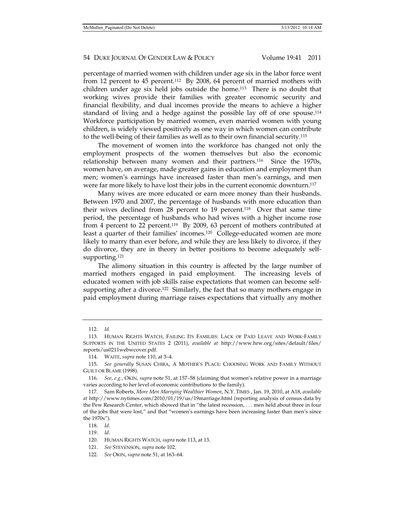percentage of married women with children under age six in the labor force went from 12 percent to 45 percent.112 By 2008, 64 percent of married mothers with children under age six held jobs outside the home.113 There is no doubt that working wives provide their families with greater economic security and financial flexibility, and dual incomes provide the means to achieve a higher standard of living and a hedge against the possible lay off of one spouse.114 Workforce participation by married women, even married women with young children, is widely viewed positively as one way in which women can contribute to the well-being of their families as well as to their own financial security.115

The movement of women into the workforce has changed not only the employment prospects of the women themselves but also the economic relationship between many women and their partners.116 Since the 1970s, women have, on average, made greater gains in education and employment than men; women's earnings have increased faster than men's earnings, and men were far more likely to have lost their jobs in the current economic downturn.<sup>117</sup>

Many wives are more educated or earn more money than their husbands. Between 1970 and 2007, the percentage of husbands with more education than their wives declined from 28 percent to 19 percent.118 Over that same time period, the percentage of husbands who had wives with a higher income rose from 4 percent to 22 percent.<sup>119</sup> By 2009, 63 percent of mothers contributed at least a quarter of their families' incomes.120 College-educated women are more likely to marry than ever before, and while they are less likely to divorce, if they do divorce, they are in theory in better positions to become adequately selfsupporting.<sup>121</sup>

The alimony situation in this country is affected by the large number of married mothers engaged in paid employment. The increasing levels of educated women with job skills raise expectations that women can become selfsupporting after a divorce.<sup>122</sup> Similarly, the fact that so many mothers engage in paid employment during marriage raises expectations that virtually any mother

119. *Id.* 

 <sup>112.</sup> *Id.*

 <sup>113.</sup> HUMAN RIGHTS WATCH, FAILING ITS FAMILIES: LACK OF PAID LEAVE AND WORK-FAMILY SUPPORTS IN THE UNITED STATES 2 (2011), *available at* http://www.hrw.org/sites/default/files/ reports/us0211webwcover.pdf.

 <sup>114.</sup> WAITE, *supra* note 110, at 3–4.

 <sup>115.</sup> *See generally* SUSAN CHIRA, A MOTHER'S PLACE: CHOOSING WORK AND FAMILY WITHOUT GUILT OR BLAME (1998).

 <sup>116.</sup> *See*, *e.g.*, OKIN, *supra* note 51, at 157–58 (claiming that women's relative power in a marriage varies according to her level of economic contributions to the family).

 <sup>117.</sup> Sam Roberts, *More Men Marrying Wealthier Women*, N.Y. TIMES , Jan. 19, 2010, at A18, *available at* http://www.nytimes.com/2010/01/19/us/19marriage.html (reporting analysis of census data by the Pew Research Center, which showed that in "the latest recession, . . . men held about three in four of the jobs that were lost," and that "women's earnings have been increasing faster than men's since the 1970s").

 <sup>118.</sup> *Id.* 

 <sup>120.</sup> HUMAN RIGHTS WATCH, *supra* note 113, at 13.

 <sup>121.</sup> *See* STEVENSON, *supra* note 102.

 <sup>122.</sup> *See* OKIN, *supra* note 51, at 163–64.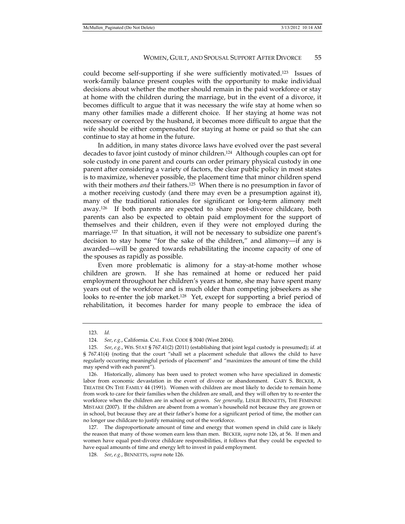could become self-supporting if she were sufficiently motivated.123 Issues of work-family balance present couples with the opportunity to make individual decisions about whether the mother should remain in the paid workforce or stay at home with the children during the marriage, but in the event of a divorce, it becomes difficult to argue that it was necessary the wife stay at home when so many other families made a different choice. If her staying at home was not necessary or coerced by the husband, it becomes more difficult to argue that the wife should be either compensated for staying at home or paid so that she can continue to stay at home in the future.

In addition, in many states divorce laws have evolved over the past several decades to favor joint custody of minor children.124 Although couples can opt for sole custody in one parent and courts can order primary physical custody in one parent after considering a variety of factors, the clear public policy in most states is to maximize, whenever possible, the placement time that minor children spend with their mothers *and* their fathers.125 When there is no presumption in favor of a mother receiving custody (and there may even be a presumption against it), many of the traditional rationales for significant or long-term alimony melt away.126 If both parents are expected to share post-divorce childcare, both parents can also be expected to obtain paid employment for the support of themselves and their children, even if they were not employed during the marriage.<sup>127</sup> In that situation, it will not be necessary to subsidize one parent's decision to stay home "for the sake of the children," and alimony—if any is awarded—will be geared towards rehabilitating the income capacity of one of the spouses as rapidly as possible.

Even more problematic is alimony for a stay-at-home mother whose children are grown. If she has remained at home or reduced her paid employment throughout her children's years at home, she may have spent many years out of the workforce and is much older than competing jobseekers as she looks to re-enter the job market.<sup>128</sup> Yet, except for supporting a brief period of rehabilitation, it becomes harder for many people to embrace the idea of

 <sup>123.</sup> *Id.* 

 <sup>124.</sup> *See*, *e.g.*, California. CAL. FAM. CODE § 3040 (West 2004).

 <sup>125.</sup> *See*, *e.g.*, WIS. STAT § 767.41(2) (2011) (establishing that joint legal custody is presumed); *id.* at § 767.41(4) (noting that the court "shall set a placement schedule that allows the child to have regularly occurring meaningful periods of placement" and "maximizes the amount of time the child may spend with each parent").

 <sup>126.</sup> Historically, alimony has been used to protect women who have specialized in domestic labor from economic devastation in the event of divorce or abandonment. GARY S. BECKER, A TREATISE ON THE FAMILY 44 (1991). Women with children are most likely to decide to remain home from work to care for their families when the children are small, and they will often try to re-enter the workforce when the children are in school or grown. *See generally,* LESLIE BENNETTS, THE FEMININE MISTAKE (2007). If the children are absent from a woman's household not because they are grown or in school, but because they are at their father's home for a significant period of time, the mother can no longer use childcare to justify remaining out of the workforce.

 <sup>127.</sup> The disproportionate amount of time and energy that women spend in child care is likely the reason that many of those women earn less than men. BECKER, *supra* note 126, at 56. If men and women have equal post-divorce childcare responsibilities, it follows that they could be expected to have equal amounts of time and energy left to invest in paid employment.

 <sup>128.</sup> *See*, *e.g.*, BENNETTS, *supra* note 126.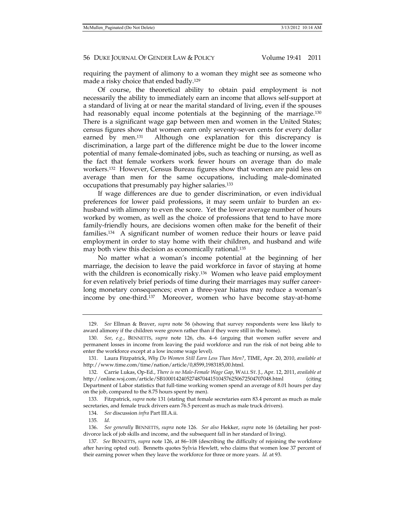requiring the payment of alimony to a woman they might see as someone who made a risky choice that ended badly.129

Of course, the theoretical ability to obtain paid employment is not necessarily the ability to immediately earn an income that allows self-support at a standard of living at or near the marital standard of living, even if the spouses had reasonably equal income potentials at the beginning of the marriage.<sup>130</sup> There is a significant wage gap between men and women in the United States; census figures show that women earn only seventy-seven cents for every dollar earned by men.<sup>131</sup> Although one explanation for this discrepancy is discrimination, a large part of the difference might be due to the lower income potential of many female-dominated jobs, such as teaching or nursing, as well as the fact that female workers work fewer hours on average than do male workers.132 However, Census Bureau figures show that women are paid less on average than men for the same occupations, including male-dominated occupations that presumably pay higher salaries.133

If wage differences are due to gender discrimination, or even individual preferences for lower paid professions, it may seem unfair to burden an exhusband with alimony to even the score. Yet the lower average number of hours worked by women, as well as the choice of professions that tend to have more family-friendly hours, are decisions women often make for the benefit of their families.134 A significant number of women reduce their hours or leave paid employment in order to stay home with their children, and husband and wife may both view this decision as economically rational.<sup>135</sup>

No matter what a woman's income potential at the beginning of her marriage, the decision to leave the paid workforce in favor of staying at home with the children is economically risky.<sup>136</sup> Women who leave paid employment for even relatively brief periods of time during their marriages may suffer careerlong monetary consequences; even a three-year hiatus may reduce a woman's income by one-third.137 Moreover, women who have become stay-at-home

 133. Fitzpatrick, *supra* note 131 (stating that female secretaries earn 83.4 percent as much as male secretaries, and female truck drivers earn 76.5 percent as much as male truck drivers).

 <sup>129.</sup> *See* Ellman & Braver, *supra* note 56 (showing that survey respondents were less likely to award alimony if the children were grown rather than if they were still in the home).

 <sup>130.</sup> *See*, *e.g.*, BENNETTS, *supra* note 126, chs. 4–6 (arguing that women suffer severe and permanent losses in income from leaving the paid workforce and run the risk of not being able to enter the workforce except at a low income wage level).

 <sup>131.</sup> Laura Fitzpatrick, *Why Do Women Still Earn Less Than Men?*, TIME, Apr. 20, 2010, *available at*  http://www.time.com/time/nation/article/0,8599,1983185,00.html.

 <sup>132.</sup> Carrie Lukas, Op-Ed., *There is no Male-Female Wage Gap*, WALL ST. J., Apr. 12, 2011, *available at*  http://online.wsj.com/article/SB10001424052748704415104576250672504707048.html (citing Department of Labor statistics that full-time working women spend an average of 8.01 hours per day on the job, compared to the 8.75 hours spent by men).

 <sup>134.</sup> *See* discussion *infra* Part III.A.ii.

<sup>135</sup>*. Id.*

 <sup>136.</sup> *See generally* BENNETTS, *supra* note 126. *See also* Hekker, *supra* note 16 (detailing her postdivorce lack of job skills and income, and the subsequent fall in her standard of living).

<sup>137</sup>*. See* BENNETTS, *supra* note 126, at 86–108 (describing the difficulty of rejoining the workforce after having opted out). Bennetts quotes Sylvia Hewlett, who claims that women lose 37 percent of their earning power when they leave the workforce for three or more years. *Id.* at 93.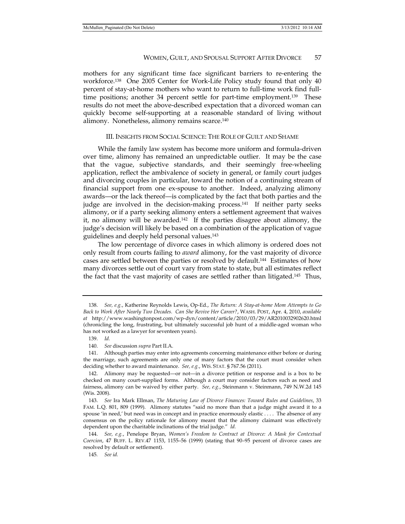mothers for any significant time face significant barriers to re-entering the workforce.138 One 2005 Center for Work-Life Policy study found that only 40 percent of stay-at-home mothers who want to return to full-time work find fulltime positions; another 34 percent settle for part-time employment.139 These results do not meet the above-described expectation that a divorced woman can quickly become self-supporting at a reasonable standard of living without alimony. Nonetheless, alimony remains scarce.140

#### III. INSIGHTS FROM SOCIAL SCIENCE: THE ROLE OF GUILT AND SHAME

While the family law system has become more uniform and formula-driven over time, alimony has remained an unpredictable outlier. It may be the case that the vague, subjective standards, and their seemingly free-wheeling application, reflect the ambivalence of society in general, or family court judges and divorcing couples in particular, toward the notion of a continuing stream of financial support from one ex-spouse to another. Indeed, analyzing alimony awards—or the lack thereof—is complicated by the fact that both parties and the judge are involved in the decision-making process.141 If neither party seeks alimony, or if a party seeking alimony enters a settlement agreement that waives it, no alimony will be awarded.<sup>142</sup> If the parties disagree about alimony, the judge's decision will likely be based on a combination of the application of vague guidelines and deeply held personal values.143

The low percentage of divorce cases in which alimony is ordered does not only result from courts failing to *award* alimony, for the vast majority of divorce cases are settled between the parties or resolved by default.144 Estimates of how many divorces settle out of court vary from state to state, but all estimates reflect the fact that the vast majority of cases are settled rather than litigated.<sup>145</sup> Thus,

 <sup>138.</sup> *See, e.g.*, Katherine Reynolds Lewis, Op-Ed., *The Return: A Stay-at-home Mom Attempts to Go Back to Work After Nearly Two Decades. Can She Revive Her Career?*, WASH. POST, Apr. 4, 2010, *available at* http://www.washingtonpost.com/wp-dyn/content/article/2010/03/29/AR2010032902620.html (chronicling the long, frustrating, but ultimately successful job hunt of a middle-aged woman who has not worked as a lawyer for seventeen years).

 <sup>139.</sup> *Id.* 

 <sup>140.</sup> *See* discussion *supra* Part II.A.

 <sup>141.</sup> Although parties may enter into agreements concerning maintenance either before or during the marriage, such agreements are only one of many factors that the court must consider when deciding whether to award maintenance. *See, e.g.*, WIS. STAT. § 767.56 (2011).

 <sup>142.</sup> Alimony may be requested—or not—in a divorce petition or response and is a box to be checked on many court-supplied forms. Although a court may consider factors such as need and fairness, alimony can be waived by either party. *See, e.g.*, Steinmann v. Steinmann, 749 N.W.2d 145 (Wis. 2008).

 <sup>143.</sup> *See* Ira Mark Ellman, *The Maturing Law of Divorce Finances: Toward Rules and Guidelines*, 33 FAM. L.Q. 801, 809 (1999). Alimony statutes "said no more than that a judge might award it to a spouse 'in need,' but need was in concept and in practice enormously elastic . . . . The absence of any consensus on the policy rationale for alimony meant that the alimony claimant was effectively dependent upon the charitable inclinations of the trial judge." *Id.*

 <sup>144.</sup> *See, e.g.*, Penelope Bryan, *Women's Freedom to Contract at Divorce: A Mask for Contextual Coercion*, 47 BUFF. L. REV.47 1153, 1155–56 (1999) (stating that 90–95 percent of divorce cases are resolved by default or settlement).

<sup>145</sup>*. See id.*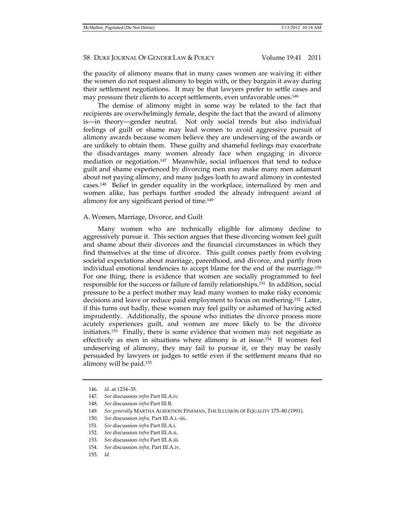the paucity of alimony means that in many cases women are waiving it: either the women do not request alimony to begin with, or they bargain it away during their settlement negotiations. It may be that lawyers prefer to settle cases and may pressure their clients to accept settlements, even unfavorable ones.146

The demise of alimony might in some way be related to the fact that recipients are overwhelmingly female, despite the fact that the award of alimony is—in theory—gender neutral. Not only social trends but also individual feelings of guilt or shame may lead women to avoid aggressive pursuit of alimony awards because women believe they are undeserving of the awards or are unlikely to obtain them. These guilty and shameful feelings may exacerbate the disadvantages many women already face when engaging in divorce mediation or negotiation.<sup>147</sup> Meanwhile, social influences that tend to reduce guilt and shame experienced by divorcing men may make many men adamant about not paying alimony, and many judges loath to award alimony in contested cases.148 Belief in gender equality in the workplace, internalized by men and women alike, has perhaps further eroded the already infrequent award of alimony for any significant period of time.149

#### A. Women, Marriage, Divorce, and Guilt

Many women who are technically eligible for alimony decline to aggressively pursue it. This section argues that these divorcing women feel guilt and shame about their divorces and the financial circumstances in which they find themselves at the time of divorce. This guilt comes partly from evolving societal expectations about marriage, parenthood, and divorce, and partly from individual emotional tendencies to accept blame for the end of the marriage.150 For one thing, there is evidence that women are socially programmed to feel responsible for the success or failure of family relationships.151 In addition, social pressure to be a perfect mother may lead many women to make risky economic decisions and leave or reduce paid employment to focus on mothering.<sup>152</sup> Later, if this turns out badly, these women may feel guilty or ashamed of having acted imprudently. Additionally, the spouse who initiates the divorce process more acutely experiences guilt, and women are more likely to be the divorce initiators.<sup>153</sup> Finally, there is some evidence that women may not negotiate as effectively as men in situations where alimony is at issue.<sup>154</sup> If women feel undeserving of alimony, they may fail to pursue it, or they may be easily persuaded by lawyers or judges to settle even if the settlement means that no alimony will be paid.155

 <sup>146.</sup> *Id.* at 1234–35.

 <sup>147.</sup> *See* discussion *infra* Part III.A.iv.

 <sup>148.</sup> *See* discussion *infra* Part III.B.

 <sup>149.</sup> *See generally* MARTHA ALBERTSON FINEMAN, THE ILLUSION OF EQUALITY 175–80 (1991).

 <sup>150.</sup> *See* discussion *infra,* Part III.A.i.–iii..

 <sup>151.</sup> *See* discussion *infra* Part III.A.i.

 <sup>152.</sup> *See* discussion *infra* Part III.A.ii.

 <sup>153.</sup> *See* discussion *infra* Part III.A.iii.

 <sup>154.</sup> *See* discussion *infra,* Part III.A.iv.

 <sup>155.</sup> *Id.*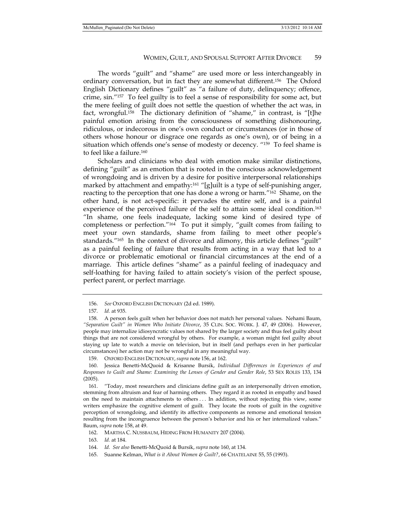The words "guilt" and "shame" are used more or less interchangeably in ordinary conversation, but in fact they are somewhat different.156 The Oxford English Dictionary defines "guilt" as "a failure of duty, delinquency; offence, crime, sin."157 To feel guilty is to feel a sense of responsibility for some act, but the mere feeling of guilt does not settle the question of whether the act was, in fact, wrongful.158 The dictionary definition of "shame," in contrast, is "[t]he painful emotion arising from the consciousness of something dishonouring, ridiculous, or indecorous in one's own conduct or circumstances (or in those of others whose honour or disgrace one regards as one's own), or of being in a situation which offends one's sense of modesty or decency. "159 To feel shame is to feel like a failure.160

Scholars and clinicians who deal with emotion make similar distinctions, defining "guilt" as an emotion that is rooted in the conscious acknowledgement of wrongdoing and is driven by a desire for positive interpersonal relationships marked by attachment and empathy:<sup>161</sup> "[g]uilt is a type of self-punishing anger, reacting to the perception that one has done a wrong or harm.<sup>"162</sup> Shame, on the other hand, is not act-specific: it pervades the entire self, and is a painful experience of the perceived failure of the self to attain some ideal condition.<sup>163</sup> "In shame, one feels inadequate, lacking some kind of desired type of completeness or perfection."164 To put it simply, "guilt comes from failing to meet your own standards, shame from failing to meet other people's standards."<sup>165</sup> In the context of divorce and alimony, this article defines "guilt" as a painful feeling of failure that results from acting in a way that led to a divorce or problematic emotional or financial circumstances at the end of a marriage. This article defines "shame" as a painful feeling of inadequacy and self-loathing for having failed to attain society's vision of the perfect spouse, perfect parent, or perfect marriage.

 <sup>156.</sup> *See* OXFORD ENGLISH DICTIONARY (2d ed. 1989).

 <sup>157.</sup> *Id.* at 935.

 <sup>158.</sup> A person feels guilt when her behavior does not match her personal values. Nehami Baum, *"Separation Guilt" in Women Who Initiate Divorce*, 35 CLIN. SOC. WORK. J. 47, 49 (2006). However, people may internalize idiosyncratic values not shared by the larger society and thus feel guilty about things that are not considered wrongful by others. For example, a woman might feel guilty about staying up late to watch a movie on television, but in itself (and perhaps even in her particular circumstances) her action may not be wrongful in any meaningful way.

 <sup>159.</sup> OXFORD ENGLISH DICTIONARY, *supra* note 156, at 162.

 <sup>160.</sup> Jessica Benetti-McQuoid & Krisanne Bursik, *Individual Differences in Experiences of and Responses to Guilt and Shame: Examining the Lenses of Gender and Gender Role*, 53 SEX ROLES 133, 134 (2005).

 <sup>161. &</sup>quot;Today, most researchers and clinicians define guilt as an interpersonally driven emotion, stemming from altruism and fear of harming others. They regard it as rooted in empathy and based on the need to maintain attachments to others . . . In addition, without rejecting this view, some writers emphasize the cognitive element of guilt. They locate the roots of guilt in the cognitive perception of wrongdoing, and identify its affective components as remorse and emotional tension resulting from the incongruence between the person's behavior and his or her internalized values." Baum, *supra* note 158, at 49.

 <sup>162.</sup> MARTHA C. NUSSBAUM, HIDING FROM HUMANITY 207 (2004).

 <sup>163.</sup> *Id.* at 184.

 <sup>164.</sup> *Id. See also* Benetti-McQuoid & Bursik, *supra* note 160, at 134.

 <sup>165.</sup> Suanne Kelman, *What is it About Women & Guilt?*, 66 CHATELAINE 55, 55 (1993).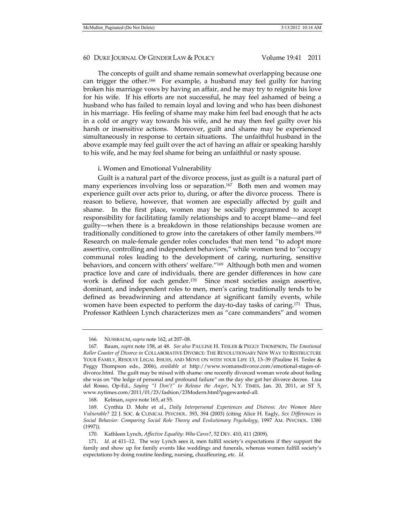The concepts of guilt and shame remain somewhat overlapping because one can trigger the other.166 For example, a husband may feel guilty for having broken his marriage vows by having an affair, and he may try to reignite his love for his wife. If his efforts are not successful, he may feel ashamed of being a husband who has failed to remain loyal and loving and who has been dishonest in his marriage. His feeling of shame may make him feel bad enough that he acts in a cold or angry way towards his wife, and he may then feel guilty over his harsh or insensitive actions. Moreover, guilt and shame may be experienced simultaneously in response to certain situations. The unfaithful husband in the above example may feel guilt over the act of having an affair or speaking harshly to his wife, and he may feel shame for being an unfaithful or nasty spouse.

#### i. Women and Emotional Vulnerability

Guilt is a natural part of the divorce process, just as guilt is a natural part of many experiences involving loss or separation.167 Both men and women may experience guilt over acts prior to, during, or after the divorce process. There is reason to believe, however, that women are especially affected by guilt and shame. In the first place, women may be socially programmed to accept responsibility for facilitating family relationships and to accept blame—and feel guilty—when there is a breakdown in those relationships because women are traditionally conditioned to grow into the caretakers of other family members.168 Research on male-female gender roles concludes that men tend "to adopt more assertive, controlling and independent behaviors," while women tend to "occupy communal roles leading to the development of caring, nurturing, sensitive behaviors, and concern with others' welfare."169 Although both men and women practice love and care of individuals, there are gender differences in how care work is defined for each gender.170 Since most societies assign assertive, dominant, and independent roles to men, men's caring traditionally tends to be defined as breadwinning and attendance at significant family events, while women have been expected to perform the day-to-day tasks of caring.<sup>171</sup> Thus, Professor Kathleen Lynch characterizes men as "care commanders" and women

168. Kelman, *supra* note 165, at 55.

 <sup>166.</sup> NUSSBAUM, *supra* note 162, at 207–08.

 <sup>167.</sup> Baum, *supra* note 158, at 48. *See also* PAULINE H. TESLER & PEGGY THOMPSON, *The Emotional Roller Coaster of Divorce in* COLLABORATIVE DIVORCE: THE REVOLUTIONARY NEW WAY TO RESTRUCTURE YOUR FAMILY, RESOLVE LEGAL ISSUES, AND MOVE ON WITH YOUR LIFE 13, 13–39 (Pauline H. Tesler & Peggy Thompson eds., 2006), *available at* http://www.womansdivorce.com/emotional-stages-ofdivorce.html. The guilt may be mixed with shame: one recently divorced woman wrote about feeling she was on "the ledge of personal and profound failure" on the day she got her divorce decree. Lisa del Rosso, Op-Ed., *Saying "I Don't" to Release the Anger*, N.Y. TIMES, Jan. 20, 2011, at ST 5, www.nytimes.com/2011/01/23/fashion/23Modern.html?pagewanted-all.

 <sup>169.</sup> Cynthia D. Mohr et al., *Daily Interpersonal Experiences and Distress: Are Women More Vulnerable?* 22 J. SOC. & CLINICAL PSYCHOL. 393, 394 (2003) (citing Alice H. Eagly, *Sex Differences in Social Behavior: Comparing Social Role Theory and Evolutionary Psychology*, 1997 AM. PSYCHOL. 1380 (1997)).

 <sup>170.</sup> Kathleen Lynch, *Affective Equality: Who Cares?*, 52 DEV. 410, 411 (2009).

 <sup>171.</sup> *Id.* at 411–12. The way Lynch sees it, men fulfill society's expectations if they support the family and show up for family events like weddings and funerals, whereas women fulfill society's expectations by doing routine feeding, nursing, chauffeuring, etc. *Id.*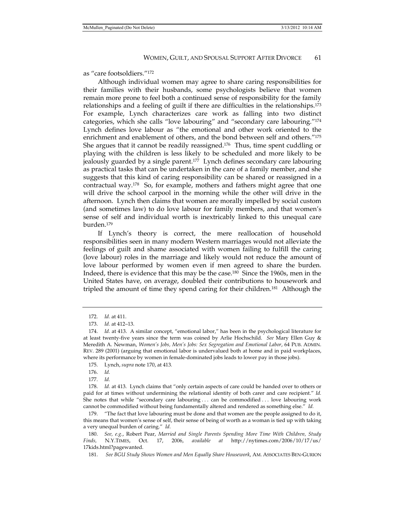as "care footsoldiers."172

Although individual women may agree to share caring responsibilities for their families with their husbands, some psychologists believe that women remain more prone to feel both a continued sense of responsibility for the family relationships and a feeling of guilt if there are difficulties in the relationships.<sup>173</sup> For example, Lynch characterizes care work as falling into two distinct categories, which she calls "love labouring" and "secondary care labouring."174 Lynch defines love labour as "the emotional and other work oriented to the enrichment and enablement of others, and the bond between self and others."175 She argues that it cannot be readily reassigned.<sup>176</sup> Thus, time spent cuddling or playing with the children is less likely to be scheduled and more likely to be jealously guarded by a single parent.<sup>177</sup> Lynch defines secondary care labouring as practical tasks that can be undertaken in the care of a family member, and she suggests that this kind of caring responsibility can be shared or reassigned in a contractual way.178 So, for example, mothers and fathers might agree that one will drive the school carpool in the morning while the other will drive in the afternoon. Lynch then claims that women are morally impelled by social custom (and sometimes law) to do love labour for family members, and that women's sense of self and individual worth is inextricably linked to this unequal care burden.179

If Lynch's theory is correct, the mere reallocation of household responsibilities seen in many modern Western marriages would not alleviate the feelings of guilt and shame associated with women failing to fulfill the caring (love labour) roles in the marriage and likely would not reduce the amount of love labour performed by women even if men agreed to share the burden. Indeed, there is evidence that this may be the case.180 Since the 1960s, men in the United States have, on average, doubled their contributions to housework and tripled the amount of time they spend caring for their children.181 Although the

 <sup>172.</sup> *Id.* at 411.

 <sup>173.</sup> *Id.* at 412–13.

 <sup>174.</sup> *Id.* at 413. A similar concept, "emotional labor," has been in the psychological literature for at least twenty-five years since the term was coined by Arlie Hochschild. *See* Mary Ellen Guy & Meredith A. Newman, *Women's Jobs, Men's Jobs: Sex Segregation and Emotional Labor*, 64 PUB. ADMIN. REV. 289 (2001) (arguing that emotional labor is undervalued both at home and in paid workplaces, where its performance by women in female-dominated jobs leads to lower pay in those jobs).

 <sup>175.</sup> Lynch, *supra* note 170, at 413*.* 

 <sup>176.</sup> *Id.* 

 <sup>177.</sup> *Id.*

 <sup>178.</sup> *Id.* at 413. Lynch claims that "only certain aspects of care could be handed over to others or paid for at times without undermining the relational identity of both carer and care recipient." *Id.* She notes that while "secondary care labouring . . . can be commodified . . . love labouring work cannot be commodified without being fundamentally altered and rendered as something else." *Id.* 

 <sup>179. &</sup>quot;The fact that love labouring must be done and that women are the people assigned to do it, this means that women's sense of self, their sense of being of worth as a woman is tied up with taking a very unequal burden of caring." *Id.* 

 <sup>180.</sup> *See, e.g.*, Robert Pear, *Married and Single Parents Spending More Time With Children, Study Finds,* N.Y.TIMES, Oct. 17, 2006, *available at* http://nytimes.com/2006/10/17/us/ 17kids.html?pagewanted.

 <sup>181.</sup> *See BGU Study Shows Women and Men Equally Share Housework*, AM. ASSOCIATES BEN-GURION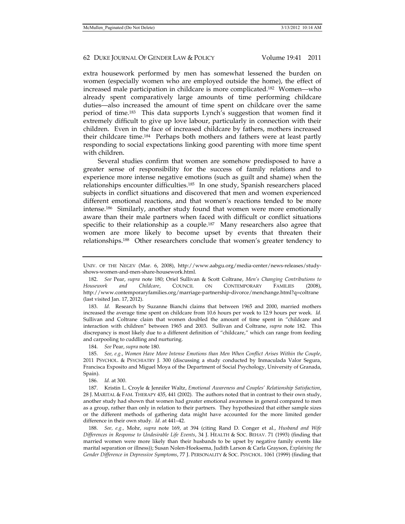extra housework performed by men has somewhat lessened the burden on women (especially women who are employed outside the home), the effect of increased male participation in childcare is more complicated.182 Women—who already spent comparatively large amounts of time performing childcare duties—also increased the amount of time spent on childcare over the same period of time.183 This data supports Lynch's suggestion that women find it extremely difficult to give up love labour, particularly in connection with their children. Even in the face of increased childcare by fathers, mothers increased their childcare time.184 Perhaps both mothers and fathers were at least partly responding to social expectations linking good parenting with more time spent with children.

Several studies confirm that women are somehow predisposed to have a greater sense of responsibility for the success of family relations and to experience more intense negative emotions (such as guilt and shame) when the relationships encounter difficulties.185 In one study, Spanish researchers placed subjects in conflict situations and discovered that men and women experienced different emotional reactions, and that women's reactions tended to be more intense.186 Similarly, another study found that women were more emotionally aware than their male partners when faced with difficult or conflict situations specific to their relationship as a couple.<sup>187</sup> Many researchers also agree that women are more likely to become upset by events that threaten their relationships.188 Other researchers conclude that women's greater tendency to

 183. *Id.* Research by Suzanne Bianchi claims that between 1965 and 2000, married mothers increased the average time spent on childcare from 10.6 hours per week to 12.9 hours per week. *Id.* Sullivan and Coltrane claim that women doubled the amount of time spent in "childcare and interaction with children" between 1965 and 2003. Sullivan and Coltrane, *supra* note 182. This discrepancy is most likely due to a different definition of "childcare," which can range from feeding and carpooling to cuddling and nurturing.

184. *See* Pear, *supra* note 180.

 185. *See, e.g.*, *Women Have More Intense Emotions than Men When Conflict Arises Within the Couple*, 2011 PSYCHOL. & PSYCHIATRY J. 300 (discussing a study conducted by Inmaculada Valor Segura, Francisca Exposito and Miguel Moya of the Department of Social Psychology, University of Granada, Spain).

186. *Id.* at 300.

 187. Kristin L. Croyle & Jennifer Waltz, *Emotional Awareness and Couples' Relationship Satisfaction*, 28 J. MARITAL & FAM. THERAPY 435, 441 (2002). The authors noted that in contrast to their own study, another study had shown that women had greater emotional awareness in general compared to men as a group, rather than only in relation to their partners. They hypothesized that either sample sizes or the different methods of gathering data might have accounted for the more limited gender difference in their own study. *Id.* at 441–42.

 188. *See, e.g.,* Mohr, *supra* note 169, at 394 (citing Rand D. Conger et al., *Husband and Wife Differences in Response to Undesirable Life Events*, 34 J. HEALTH & SOC. BEHAV. 71 (1993) (finding that married women were more likely than their husbands to be upset by negative family events like marital separation or illness)); Susan Nolen-Hoeksema, Judith Larson & Carla Grayson, *Explaining the Gender Difference in Depressive Symptoms*, 77 J. PERSONALITY & SOC. PSYCHOL. 1061 (1999) (finding that

UNIV. OF THE NEGEV (Mar. 6, 2008), http://www.aabgu.org/media-center/news-releases/studyshows-women-and-men-share-housework.html.

 <sup>182.</sup> *See* Pear, *supra* note 180; Oriel Sullivan & Scott Coltrane, *Men's Changing Contributions to Housework and Childcare*, COUNCIL ON CONTEMPORARY FAMILIES (2008), http://www.contemporaryfamilies.org/marriage-partnership-divorce/menchange.html?q=coltrane (last visited Jan. 17, 2012).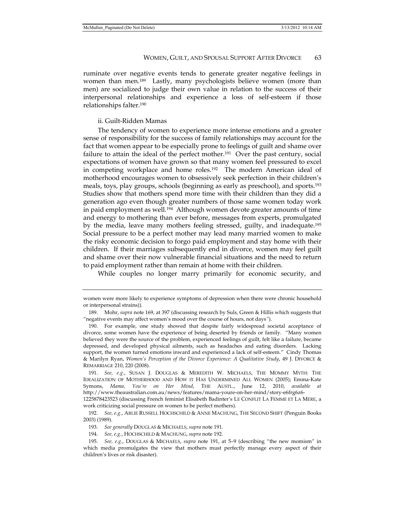ruminate over negative events tends to generate greater negative feelings in women than men.189 Lastly, many psychologists believe women (more than men) are socialized to judge their own value in relation to the success of their interpersonal relationships and experience a loss of self-esteem if those relationships falter.190

#### ii. Guilt-Ridden Mamas

The tendency of women to experience more intense emotions and a greater sense of responsibility for the success of family relationships may account for the fact that women appear to be especially prone to feelings of guilt and shame over failure to attain the ideal of the perfect mother.<sup>191</sup> Over the past century, social expectations of women have grown so that many women feel pressured to excel in competing workplace and home roles.192 The modern American ideal of motherhood encourages women to obsessively seek perfection in their children's meals, toys, play groups, schools (beginning as early as preschool), and sports.193 Studies show that mothers spend more time with their children than they did a generation ago even though greater numbers of those same women today work in paid employment as well.194 Although women devote greater amounts of time and energy to mothering than ever before, messages from experts, promulgated by the media, leave many mothers feeling stressed, guilty, and inadequate.195 Social pressure to be a perfect mother may lead many married women to make the risky economic decision to forgo paid employment and stay home with their children. If their marriages subsequently end in divorce, women may feel guilt and shame over their now vulnerable financial situations and the need to return to paid employment rather than remain at home with their children.

While couples no longer marry primarily for economic security, and

women were more likely to experience symptoms of depression when there were chronic household or interpersonal strains)).

 <sup>189.</sup> Mohr, *supra* note 169, at 397 (discussing research by Suls, Green & Hillis which suggests that "negative events may affect women's mood over the course of hours, not days*"*).

 <sup>190.</sup> For example, one study showed that despite fairly widespread societal acceptance of divorce, some women have the experience of being deserted by friends or family. "Many women believed they were the source of the problem, experienced feelings of guilt, felt like a failure, became depressed, and developed physical ailments, such as headaches and eating disorders. Lacking support, the women turned emotions inward and experienced a lack of self-esteem." Cindy Thomas & Marilyn Ryan, *Women's Perception of the Divorce Experience: A Qualitative Study*, 49 J. DIVORCE & REMARRIAGE 210, 220 (2008).

 <sup>191.</sup> *See, e.g.*, SUSAN J. DOUGLAS & MEREDITH W. MICHAELS, THE MOMMY MYTH: THE IDEALIZATION OF MOTHERHOOD AND HOW IT HAS UNDERMINED ALL WOMEN (2005); Emma-Kate Symons, *Mama, You're on Her Mind*, THE AUSTL., June 12, 2010, *available at*  http://www.theaustralian.com.au/news/features/mama-youre-on-her-mind/story-e6frg6z6-

<sup>1225878423523 (</sup>discussing French feminist Elisabeth Badinter's LE CONFLIT LA FEMME ET LA MERE, a work criticizing social pressure on women to be perfect mothers).

 <sup>192.</sup> *See, e.g.*, ARLIE RUSSELL HOCHSCHILD & ANNE MACHUNG, THE SECOND SHIFT (Penguin Books 2003) (1989).

 <sup>193.</sup> *See generally* DOUGLAS & MICHAELS, *supra* note 191.

 <sup>194.</sup> *See, e.g.*, HOCHSCHILD & MACHUNG, *supra* note 192.

 <sup>195.</sup> *See, e.g.*, DOUGLAS & MICHAELS, *supra* note 191, at 5–9 (describing "the new momism" in which media promulgates the view that mothers must perfectly manage every aspect of their children's lives or risk disaster).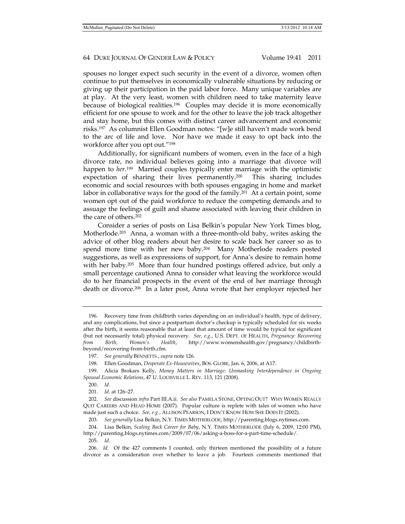spouses no longer expect such security in the event of a divorce, women often continue to put themselves in economically vulnerable situations by reducing or giving up their participation in the paid labor force. Many unique variables are at play. At the very least, women with children need to take maternity leave because of biological realities.196 Couples may decide it is more economically efficient for one spouse to work and for the other to leave the job track altogether and stay home, but this comes with distinct career advancement and economic risks.197 As columnist Ellen Goodman notes: "[w]e still haven't made work bend to the arc of life and love. Nor have we made it easy to opt back into the workforce after you opt out."198

Additionally, for significant numbers of women, even in the face of a high divorce rate, no individual believes going into a marriage that divorce will happen to *her*.199 Married couples typically enter marriage with the optimistic expectation of sharing their lives permanently.<sup>200</sup> This sharing includes economic and social resources with both spouses engaging in home and market labor in collaborative ways for the good of the family.<sup>201</sup> At a certain point, some women opt out of the paid workforce to reduce the competing demands and to assuage the feelings of guilt and shame associated with leaving their children in the care of others.202

Consider a series of posts on Lisa Belkin's popular New York Times blog, Motherlode.<sup>203</sup> Anna, a woman with a three-month-old baby, writes asking the advice of other blog readers about her desire to scale back her career so as to spend more time with her new baby.204 Many Motherlode readers posted suggestions, as well as expressions of support, for Anna's desire to remain home with her baby.<sup>205</sup> More than four hundred postings offered advice, but only a small percentage cautioned Anna to consider what leaving the workforce would do to her financial prospects in the event of the end of her marriage through death or divorce.206 In a later post, Anna wrote that her employer rejected her

 <sup>196.</sup> Recovery time from childbirth varies depending on an individual's health, type of delivery, and any complications, but since a postpartum doctor's checkup is typically scheduled for six weeks after the birth, it seems reasonable that at least that amount of time would be typical for significant (but not necessarily total) physical recovery. *See, e.g.*, U.S. DEPT. OF HEALTH, *Pregnancy: Recovering from Birth, Women's Health*, http://www.womenshealth.gov/pregnancy/childbirthbeyond/recovering-from-birth.cfm*.*

 <sup>197.</sup> *See generally* BENNETTS , *supra* note 126.

 <sup>198.</sup> Ellen Goodman, *Desperate Ex-Housewives*, BOS. GLOBE, Jan. 6, 2006, at A17.

 <sup>199.</sup> Alicia Brokars Kelly, *Money Matters in Marriage: Unmasking Interdependence in Ongoing Spousal Economic Relations*, 47 U. LOUISVILLE L. REV. 113, 121 (2008).

 <sup>200.</sup> *Id.*

 <sup>201.</sup> *Id.* at 126–27.

 <sup>202.</sup> *See* discussion *infra* Part III.A.ii. *See also* PAMELA STONE, OPTING OUT? WHY WOMEN REALLY QUIT CAREERS AND HEAD HOME (2007). Popular culture is replete with tales of women who have made just such a choice. *See, e.g.*, ALLISON PEARSON, I DON'T KNOW HOW SHE DOES IT (2002).

 <sup>203.</sup> *See generally* Lisa Belkin, N.Y. TIMES MOTHERLODE, http://parenting.blogs.nytimes.com.

 <sup>204.</sup> Lisa Belkin, *Scaling Back Career for Baby*, N.Y. TIMES MOTHERLODE (July 6, 2009, 12:00 PM), http://parenting.blogs.nytimes.com/2009/07/06/asking-a-boss-for-a-part-time-schedule/. 205. *Id.* 

<sup>206</sup>*. Id.* Of the 427 comments I counted, only thirteen mentioned the possibility of a future divorce as a consideration over whether to leave a job. Fourteen comments mentioned that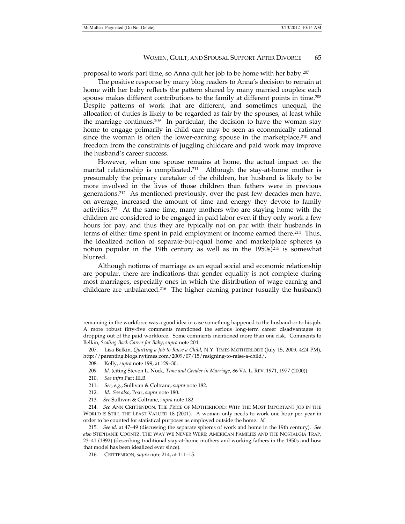proposal to work part time, so Anna quit her job to be home with her baby.207

The positive response by many blog readers to Anna's decision to remain at home with her baby reflects the pattern shared by many married couples: each spouse makes different contributions to the family at different points in time.<sup>208</sup> Despite patterns of work that are different, and sometimes unequal, the allocation of duties is likely to be regarded as fair by the spouses, at least while the marriage continues.<sup>209</sup> In particular, the decision to have the woman stay home to engage primarily in child care may be seen as economically rational since the woman is often the lower-earning spouse in the marketplace, $2^{10}$  and freedom from the constraints of juggling childcare and paid work may improve the husband's career success.

However, when one spouse remains at home, the actual impact on the marital relationship is complicated.<sup>211</sup> Although the stay-at-home mother is presumably the primary caretaker of the children, her husband is likely to be more involved in the lives of those children than fathers were in previous generations.212 As mentioned previously, over the past few decades men have, on average, increased the amount of time and energy they devote to family activities.213 At the same time, many mothers who are staying home with the children are considered to be engaged in paid labor even if they only work a few hours for pay, and thus they are typically not on par with their husbands in terms of either time spent in paid employment or income earned there.214 Thus, the idealized notion of separate-but-equal home and marketplace spheres (a notion popular in the 19th century as well as in the  $1950s$ )<sup>215</sup> is somewhat blurred.

Although notions of marriage as an equal social and economic relationship are popular, there are indications that gender equality is not complete during most marriages, especially ones in which the distribution of wage earning and childcare are unbalanced.216 The higher earning partner (usually the husband)

remaining in the workforce was a good idea in case something happened to the husband or to his job. A more robust fifty-five comments mentioned the serious long-term career disadvantages to dropping out of the paid workforce. Some comments mentioned more than one risk. Comments to Belkin, *Scaling Back Career for Baby*, *supra* note 204.

 <sup>207.</sup> Lisa Belkin, *Quitting a Job to Raise a Child*, N.Y. TIMES MOTHERLODE (July 15, 2009, 4:24 PM), http://parenting.blogs.nytimes.com/2009/07/15/resigning-to-raise-a-child/.

 <sup>208.</sup> Kelly, *supra* note 199, at 129–30.

 <sup>209.</sup> *Id.* (citing Steven L. Nock, *Time and Gender in Marriage*, 86 VA. L. REV. 1971, 1977 (2000)).

 <sup>210.</sup> *See infra* Part III.B.

 <sup>211.</sup> *See, e.g.*, Sullivan & Coltrane, *supra* note 182.

 <sup>212.</sup> *Id. See also,* Pear, *supra* note 180.

 <sup>213.</sup> *See* Sullivan & Coltrane, *supra* note 182.

<sup>214</sup>*. See* ANN CRITTENDON, THE PRICE OF MOTHERHOOD: WHY THE MOST IMPORTANT JOB IN THE WORLD IS STILL THE LEAST VALUED 18 (2001). A woman only needs to work one hour per year in order to be counted for statistical purposes as employed outside the home. *Id.*

<sup>215</sup>*. See id.* at 47–49 (discussing the separate spheres of work and home in the 19th century). *See also* STEPHANIE COONTZ, THE WAY WE NEVER WERE: AMERICAN FAMILIES AND THE NOSTALGIA TRAP, 23–41 (1992) (describing traditional stay-at-home mothers and working fathers in the 1950s and how that model has been idealized ever since).

 <sup>216.</sup> CRITTENDON, *supra* note 214, at 111–15.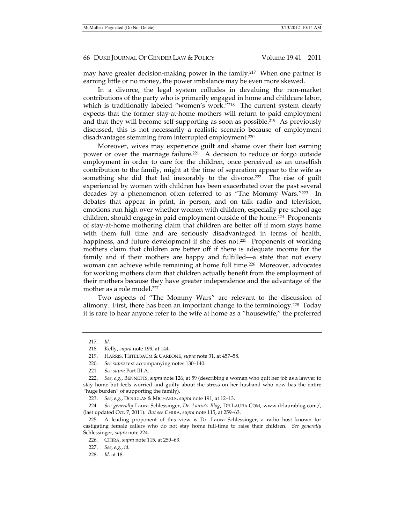may have greater decision-making power in the family.217 When one partner is earning little or no money, the power imbalance may be even more skewed.

In a divorce, the legal system colludes in devaluing the non-market contributions of the party who is primarily engaged in home and childcare labor, which is traditionally labeled "women's work."<sup>218</sup> The current system clearly expects that the former stay-at-home mothers will return to paid employment and that they will become self-supporting as soon as possible.<sup>219</sup> As previously discussed, this is not necessarily a realistic scenario because of employment disadvantages stemming from interrupted employment.<sup>220</sup>

Moreover, wives may experience guilt and shame over their lost earning power or over the marriage failure.<sup>221</sup> A decision to reduce or forgo outside employment in order to care for the children, once perceived as an unselfish contribution to the family, might at the time of separation appear to the wife as something she did that led inexorably to the divorce.<sup>222</sup> The rise of guilt experienced by women with children has been exacerbated over the past several decades by a phenomenon often referred to as "The Mommy Wars."223 In debates that appear in print, in person, and on talk radio and television, emotions run high over whether women with children, especially pre-school age children, should engage in paid employment outside of the home.224 Proponents of stay-at-home mothering claim that children are better off if mom stays home with them full time and are seriously disadvantaged in terms of health, happiness, and future development if she does not.<sup>225</sup> Proponents of working mothers claim that children are better off if there is adequate income for the family and if their mothers are happy and fulfilled—a state that not every woman can achieve while remaining at home full time.<sup>226</sup> Moreover, advocates for working mothers claim that children actually benefit from the employment of their mothers because they have greater independence and the advantage of the mother as a role model.<sup>227</sup>

Two aspects of "The Mommy Wars" are relevant to the discussion of alimony. First, there has been an important change to the terminology.228 Today it is rare to hear anyone refer to the wife at home as a "housewife;" the preferred

 224. *See generally* Laura Schlessinger, *Dr. Laura's Blog*, DR.LAURA.COM, www.drlaurablog.com/, (last updated Oct. 7, 2011). *But see* CHIRA, *supra* note 115, at 259–63.

 <sup>217.</sup> *Id.*

 <sup>218.</sup> Kelly, *supra* note 199, at 144.

 <sup>219.</sup> HARRIS, TEITELBAUM & CARBONE, *supra* note 31, at 457–58.

 <sup>220.</sup> *See supra* text accompanying notes 130–140.

 <sup>221.</sup> *See supra* Part III.A.

 <sup>222.</sup> *See, e.g.*, BENNETTS, *supra* note 126, at 59 (describing a woman who quit her job as a lawyer to stay home but feels worried and guilty about the stress on her husband who now has the entire "huge burden" of supporting the family).

 <sup>223.</sup> *See, e.g.*, DOUGLAS & MICHAELS, *supra* note 191, at 12–13.

 <sup>225.</sup> A leading proponent of this view is Dr. Laura Schlessinger, a radio host known for castigating female callers who do not stay home full-time to raise their children. *See generally* Schlessinger, *supra* note 224.

 <sup>226.</sup> CHIRA, *supra* note 115, at 259–63.

 <sup>227.</sup> *See, e.g.*, *id.*

 <sup>228.</sup> *Id.* at 18.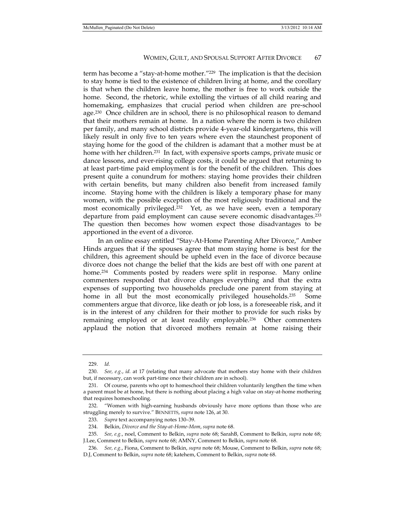term has become a "stay-at-home mother."229 The implication is that the decision to stay home is tied to the existence of children living at home, and the corollary is that when the children leave home, the mother is free to work outside the home. Second, the rhetoric, while extolling the virtues of all child rearing and homemaking, emphasizes that crucial period when children are pre-school age.<sup>230</sup> Once children are in school, there is no philosophical reason to demand that their mothers remain at home. In a nation where the norm is two children per family, and many school districts provide 4-year-old kindergartens, this will likely result in only five to ten years where even the staunchest proponent of staying home for the good of the children is adamant that a mother must be at home with her children.<sup>231</sup> In fact, with expensive sports camps, private music or dance lessons, and ever-rising college costs, it could be argued that returning to at least part-time paid employment is for the benefit of the children. This does present quite a conundrum for mothers: staying home provides their children with certain benefits, but many children also benefit from increased family income. Staying home with the children is likely a temporary phase for many women, with the possible exception of the most religiously traditional and the most economically privileged.232 Yet, as we have seen, even a temporary departure from paid employment can cause severe economic disadvantages.233 The question then becomes how women expect those disadvantages to be apportioned in the event of a divorce.

In an online essay entitled "Stay-At-Home Parenting After Divorce," Amber Hinds argues that if the spouses agree that mom staying home is best for the children, this agreement should be upheld even in the face of divorce because divorce does not change the belief that the kids are best off with one parent at home.<sup>234</sup> Comments posted by readers were split in response. Many online commenters responded that divorce changes everything and that the extra expenses of supporting two households preclude one parent from staying at home in all but the most economically privileged households.<sup>235</sup> Some commenters argue that divorce, like death or job loss, is a foreseeable risk, and it is in the interest of any children for their mother to provide for such risks by remaining employed or at least readily employable.<sup>236</sup> Other commenters applaud the notion that divorced mothers remain at home raising their

 <sup>229.</sup> *Id.*

 <sup>230.</sup> *See, e.g.*, *id.* at 17 (relating that many advocate that mothers stay home with their children but, if necessary, can work part-time once their children are in school).

 <sup>231.</sup> Of course, parents who opt to homeschool their children voluntarily lengthen the time when a parent must be at home, but there is nothing about placing a high value on stay-at-home mothering that requires homeschooling.

 <sup>232. &</sup>quot;Women with high-earning husbands obviously have more options than those who are struggling merely to survive." BENNETTS, *supra* note 126, at 30.

 <sup>233.</sup> *Supra* text accompanying notes 130–39.

 <sup>234.</sup> Belkin, *Divorce and the Stay-at-Home-Mom*, *supra* note 68.

 <sup>235.</sup> *See, e.g.*, noel, Comment to Belkin, *supra* note 68; SarahB, Comment to Belkin, *supra* note 68; J.Lee, Comment to Belkin, *supra* note 68; AMNY, Comment to Belkin, *supra* note 68.

 <sup>236.</sup> *See, e.g.*, Fiona, Comment to Belkin, *supra* note 68; Mouse, Comment to Belkin, *supra* note 68; D.J, Comment to Belkin, *supra* note 68; katehem, Comment to Belkin, *supra* note 68.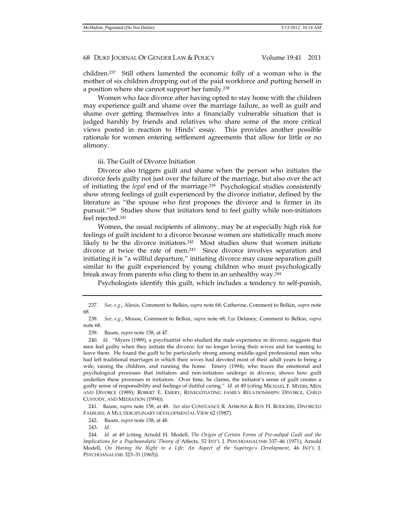children.237 Still others lamented the economic folly of a woman who is the mother of six children dropping out of the paid workforce and putting herself in a position where she cannot support her family.238

Women who face divorce after having opted to stay home with the children may experience guilt and shame over the marriage failure, as well as guilt and shame over getting themselves into a financially vulnerable situation that is judged harshly by friends and relatives who share some of the more critical views posted in reaction to Hinds' essay. This provides another possible rationale for women entering settlement agreements that allow for little or no alimony.

#### iii. The Guilt of Divorce Initiation

Divorce also triggers guilt and shame when the person who initiates the divorce feels guilty not just over the failure of the marriage, but also over the act of initiating the *legal* end of the marriage.239 Psychological studies consistently show strong feelings of guilt experienced by the divorce initiator, defined by the literature as "the spouse who first proposes the divorce and is firmer in its pursuit."240 Studies show that initiators tend to feel guilty while non-initiators feel rejected.241

Women, the usual recipients of alimony, may be at especially high risk for feelings of guilt incident to a divorce because women are statistically much more likely to be the divorce initiators.<sup>242</sup> Most studies show that women initiate divorce at twice the rate of men.<sup>243</sup> Since divorce involves separation and initiating it is "a willful departure," initiating divorce may cause separation guilt similar to the guilt experienced by young children who must psychologically break away from parents who cling to them in an unhealthy way.244

Psychologists identify this guilt, which includes a tendency to self-punish,

 241. Baum, *supra* note 158, at 48. *See also* CONSTANCE R. AHRONS & ROY H. RODGERS, DIVORCED FAMILIES: A MULTIDICIPLINARY DEVELOPMENTAL VIEW 62 (1987).

242. Baum, *supra* note 158, at 48.

243. *Id*.

 <sup>237.</sup> *See, e.g.*, Alexis, Comment to Belkin, *supra* note 68; Catherine, Comment to Belkin, *supra* note 68.

 <sup>238.</sup> *See, e.g.*, Mouse, Comment to Belkin, *supra* note 68; Liz Delaney, Comment to Belkin, *supra* note 68.

 <sup>239.</sup> Baum, *supra* note 158, at 47.

<sup>240</sup>*. Id.* "Myers (1989), a psychiatrist who studied the male experience in divorce, suggests that men feel guilty when they initiate the divorce: for no longer loving their wives and for wanting to leave them. He found the guilt to be particularly strong among middle-aged professional men who had left traditional marriages in which their wives had devoted most of their adult years to being a wife, raising the children, and running the home. Emery (1994), who traces the emotional and psychological processes that initiators and non-initiators undergo in divorce, shows how guilt underlies these processes in initiators. Over time, he claims, the initiator's sense of guilt creates a guilty sense of responsibility and feelings of dutiful caring." *Id.* at 49 (citing MICHAEL F. MYERS, MEN AND DIVORCE (1989); ROBERT E. EMERY, RENEGOTIATING FAMILY RELATIONSHIPS: DIVORCE, CHILD CUSTODY, AND MEDIATION (1994)).

 <sup>244.</sup> *Id.* at 49 (citing Arnold H. Modell, *The Origin of Certain Forms of Pre-oedipal Guilt and the Implications for a Psychoanalytic Theory of* Affects, 52 INT'L J. PSYCHOANALYSIS 337–46 (1971); Arnold Modell, *On Having the Right to a Life: An Aspect of the Superego's Development*, 46 INT'L J. PSYCHOANALYSIS 323–31 (1965)).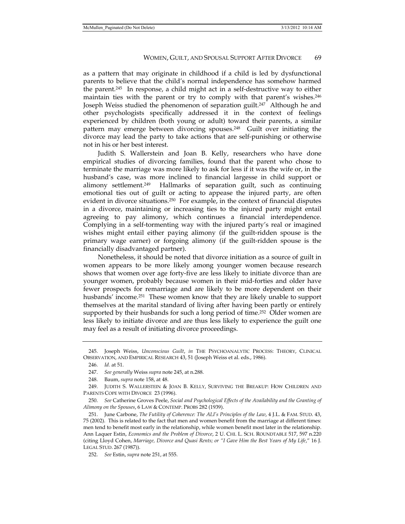as a pattern that may originate in childhood if a child is led by dysfunctional parents to believe that the child's normal independence has somehow harmed the parent.245 In response, a child might act in a self-destructive way to either maintain ties with the parent or try to comply with that parent's wishes.246 Joseph Weiss studied the phenomenon of separation guilt.<sup>247</sup> Although he and other psychologists specifically addressed it in the context of feelings experienced by children (both young or adult) toward their parents, a similar pattern may emerge between divorcing spouses.248 Guilt over initiating the divorce may lead the party to take actions that are self-punishing or otherwise not in his or her best interest.

Judith S. Wallerstein and Joan B. Kelly, researchers who have done empirical studies of divorcing families, found that the parent who chose to terminate the marriage was more likely to ask for less if it was the wife or, in the husband's case, was more inclined to financial largesse in child support or alimony settlement.<sup>249</sup> Hallmarks of separation guilt, such as continuing emotional ties out of guilt or acting to appease the injured party, are often evident in divorce situations.<sup>250</sup> For example, in the context of financial disputes in a divorce, maintaining or increasing ties to the injured party might entail agreeing to pay alimony, which continues a financial interdependence. Complying in a self-tormenting way with the injured party's real or imagined wishes might entail either paying alimony (if the guilt-ridden spouse is the primary wage earner) or forgoing alimony (if the guilt-ridden spouse is the financially disadvantaged partner).

Nonetheless, it should be noted that divorce initiation as a source of guilt in women appears to be more likely among younger women because research shows that women over age forty-five are less likely to initiate divorce than are younger women, probably because women in their mid-forties and older have fewer prospects for remarriage and are likely to be more dependent on their husbands' income.<sup>251</sup> These women know that they are likely unable to support themselves at the marital standard of living after having been partly or entirely supported by their husbands for such a long period of time.<sup>252</sup> Older women are less likely to initiate divorce and are thus less likely to experience the guilt one may feel as a result of initiating divorce proceedings.

 250. *See* Catherine Groves Peele, *Social and Psychological Effects of the Availability and the Granting of Alimony on the Spouses*, 6 LAW & CONTEMP. PROBS 282 (1939).

 251. June Carbone, *The Futility of Coherence: The ALI's Principles of the Law*, 4 J.L. & FAM. STUD. 43, 75 (2002). This is related to the fact that men and women benefit from the marriage at different times: men tend to benefit most early in the relationship, while women benefit most later in the relationship. Ann Laquer Estin, *Economics and the Problem of Divorce*, 2 U. CHI. L. SCH. ROUNDTABLE 517, 597 n.220 (citing Lloyd Cohen, *Marriage, Divorce and Quasi Rents; or "I Gave Him the Best Years of My Life*," 16 J. LEGAL STUD. 267 (1987)).

252. *See* Estin, *supra* note 251, at 555.

 <sup>245.</sup> Joseph Weiss, *Unconscious Guilt*, *in* THE PSYCHOANALYTIC PROCESS: THEORY, CLINICAL OBSERVATION, AND EMPIRICAL RESEARCH 43, 51 (Joseph Weiss et al. eds., 1986).

 <sup>246.</sup> *Id.* at 51.

 <sup>247.</sup> *See generally* Weiss *supra* note 245, at n.288.

 <sup>248.</sup> Baum, *supra* note 158, at 48.

 <sup>249.</sup> JUDITH S. WALLERSTEIN & JOAN B. KELLY, SURVIVING THE BREAKUP: HOW CHILDREN AND PARENTS COPE WITH DIVORCE 23 (1996).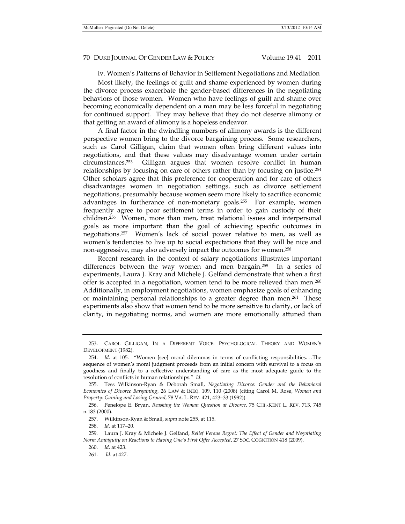iv. Women's Patterns of Behavior in Settlement Negotiations and Mediation

Most likely, the feelings of guilt and shame experienced by women during the divorce process exacerbate the gender-based differences in the negotiating behaviors of those women. Women who have feelings of guilt and shame over becoming economically dependent on a man may be less forceful in negotiating for continued support. They may believe that they do not deserve alimony or that getting an award of alimony is a hopeless endeavor.

A final factor in the dwindling numbers of alimony awards is the different perspective women bring to the divorce bargaining process. Some researchers, such as Carol Gilligan, claim that women often bring different values into negotiations, and that these values may disadvantage women under certain circumstances.253 Gilligan argues that women resolve conflict in human relationships by focusing on care of others rather than by focusing on justice.254 Other scholars agree that this preference for cooperation and for care of others disadvantages women in negotiation settings, such as divorce settlement negotiations, presumably because women seem more likely to sacrifice economic advantages in furtherance of non-monetary goals.255 For example, women frequently agree to poor settlement terms in order to gain custody of their children.256 Women, more than men, treat relational issues and interpersonal goals as more important than the goal of achieving specific outcomes in negotiations.257 Women's lack of social power relative to men, as well as women's tendencies to live up to social expectations that they will be nice and non-aggressive, may also adversely impact the outcomes for women.258

Recent research in the context of salary negotiations illustrates important differences between the way women and men bargain.<sup>259</sup> In a series of experiments, Laura J. Kray and Michele J. Gelfand demonstrate that when a first offer is accepted in a negotiation, women tend to be more relieved than men.<sup>260</sup> Additionally, in employment negotiations, women emphasize goals of enhancing or maintaining personal relationships to a greater degree than men.<sup>261</sup> These experiments also show that women tend to be more sensitive to clarity, or lack of clarity, in negotiating norms, and women are more emotionally attuned than

258. *Id.* at 117–20.

261. *Id.* at 427.

 <sup>253.</sup> CAROL GILLIGAN, IN A DIFFERENT VOICE: PSYCHOLOGICAL THEORY AND WOMEN'S DEVELOPMENT (1982).

 <sup>254.</sup> *Id.* at 105. "Women [see] moral dilemmas in terms of conflicting responsibilities. . .The sequence of women's moral judgment proceeds from an initial concern with survival to a focus on goodness and finally to a reflective understanding of care as the most adequate guide to the resolution of conflicts in human relationships." *Id.*

 <sup>255.</sup> Tess Wilkinson-Ryan & Deborah Small, *Negotiating Divorce: Gender and the Behavioral Economics of Divorce Bargaining*, 26 LAW & INEQ. 109, 110 (2008) (citing Carol M. Rose, *Women and Property: Gaining and Losing Ground*, 78 VA. L. REV. 421, 423–33 (1992)).

 <sup>256.</sup> Penelope E. Bryan, *Reasking the Woman Question at Divorce*, 75 CHI.-KENT L. REV. 713, 745 n.183 (2000).

 <sup>257.</sup> Wilkinson-Ryan & Small, *supra* note 255, at 115.

 <sup>259.</sup> Laura J. Kray & Michele J. Gelfand, *Relief Versus Regret: The Effect of Gender and Negotiating Norm Ambiguity on Reactions to Having One's First Offer Accepted*, 27 SOC. COGNITION 418 (2009).

 <sup>260.</sup> *Id.* at 423.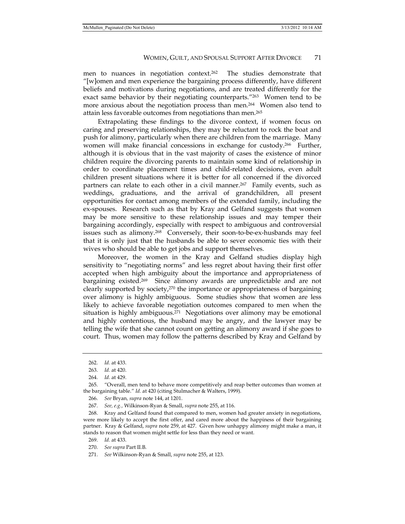men to nuances in negotiation context.262 The studies demonstrate that "[w]omen and men experience the bargaining process differently, have different beliefs and motivations during negotiations, and are treated differently for the exact same behavior by their negotiating counterparts."<sup>263</sup> Women tend to be more anxious about the negotiation process than men.264 Women also tend to attain less favorable outcomes from negotiations than men.265

Extrapolating these findings to the divorce context, if women focus on caring and preserving relationships, they may be reluctant to rock the boat and push for alimony, particularly when there are children from the marriage. Many women will make financial concessions in exchange for custody.<sup>266</sup> Further, although it is obvious that in the vast majority of cases the existence of minor children require the divorcing parents to maintain some kind of relationship in order to coordinate placement times and child-related decisions, even adult children present situations where it is better for all concerned if the divorced partners can relate to each other in a civil manner.<sup>267</sup> Family events, such as weddings, graduations, and the arrival of grandchildren, all present opportunities for contact among members of the extended family, including the ex-spouses. Research such as that by Kray and Gelfand suggests that women may be more sensitive to these relationship issues and may temper their bargaining accordingly, especially with respect to ambiguous and controversial issues such as alimony.<sup>268</sup> Conversely, their soon-to-be-ex-husbands may feel that it is only just that the husbands be able to sever economic ties with their wives who should be able to get jobs and support themselves.

Moreover, the women in the Kray and Gelfand studies display high sensitivity to "negotiating norms" and less regret about having their first offer accepted when high ambiguity about the importance and appropriateness of bargaining existed.<sup>269</sup> Since alimony awards are unpredictable and are not clearly supported by society,270 the importance or appropriateness of bargaining over alimony is highly ambiguous. Some studies show that women are less likely to achieve favorable negotiation outcomes compared to men when the situation is highly ambiguous.<sup>271</sup> Negotiations over alimony may be emotional and highly contentious, the husband may be angry, and the lawyer may be telling the wife that she cannot count on getting an alimony award if she goes to court. Thus, women may follow the patterns described by Kray and Gelfand by

267. *See, e.g.,* Wilkinson-Ryan & Small, *supra* note 255, at 116.

 268. Kray and Gelfand found that compared to men, women had greater anxiety in negotiations, were more likely to accept the first offer, and cared more about the happiness of their bargaining partner. Kray & Gelfand, *supra* note 259, at 427. Given how unhappy alimony might make a man, it stands to reason that women might settle for less than they need or want.

269. *Id.* at 433.

271. *See* Wilkinson-Ryan & Small, *supra* note 255, at 123.

 <sup>262.</sup> *Id.* at 433.

 <sup>263.</sup> *Id.* at 420.

 <sup>264.</sup> *Id.* at 429.

 <sup>265. &</sup>quot;Overall, men tend to behave more competitively and reap better outcomes than women at the bargaining table." *Id.* at 420 (citing Stulmacher & Walters, 1999).

 <sup>266.</sup> *See* Bryan*, supra* note 144, at 1201.

 <sup>270.</sup> *See supra* Part II.B.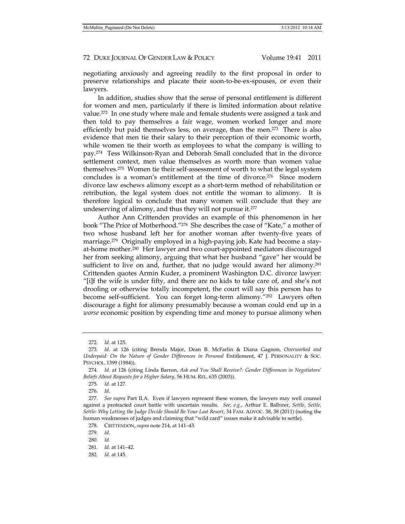negotiating anxiously and agreeing readily to the first proposal in order to preserve relationships and placate their soon-to-be-ex-spouses, or even their lawyers.

In addition, studies show that the sense of personal entitlement is different for women and men, particularly if there is limited information about relative value.272 In one study where male and female students were assigned a task and then told to pay themselves a fair wage, women worked longer and more efficiently but paid themselves less, on average, than the men. $273$  There is also evidence that men tie their salary to their perception of their economic worth, while women tie their worth as employees to what the company is willing to pay.274 Tess Wilkinson-Ryan and Deborah Small concluded that in the divorce settlement context, men value themselves as worth more than women value themselves.275 Women tie their self-assessment of worth to what the legal system concludes is a woman's entitlement at the time of divorce.276 Since modern divorce law eschews alimony except as a short-term method of rehabilitation or retribution, the legal system does not entitle the woman to alimony. It is therefore logical to conclude that many women will conclude that they are undeserving of alimony, and thus they will not pursue it.277

Author Ann Crittenden provides an example of this phenomenon in her book "The Price of Motherhood."278 She describes the case of "Kate," a mother of two whose husband left her for another woman after twenty-five years of marriage.<sup>279</sup> Originally employed in a high-paying job, Kate had become a stayat-home mother.<sup>280</sup> Her lawyer and two court-appointed mediators discouraged her from seeking alimony, arguing that what her husband "gave" her would be sufficient to live on and, further, that no judge would award her alimony.<sup>281</sup> Crittenden quotes Armin Kuder, a prominent Washington D.C. divorce lawyer: "[i]f the wife is under fifty, and there are no kids to take care of, and she's not drooling or otherwise totally incompetent, the court will say this person has to become self-sufficient. You can forget long-term alimony."282 Lawyers often discourage a fight for alimony presumably because a woman could end up in a *worse* economic position by expending time and money to pursue alimony when

 <sup>272.</sup> *Id.* at 125.

 <sup>273.</sup> *Id.* at 126 (citing Brenda Major, Dean B. McFarlin & Diana Gagnon, *Overworked and Underpaid: On the Nature of Gender Differences in Personal Entitlement, 47 J. PERSONALITY & SOC.* PSYCHOL. 1399 (1984)).

 <sup>274.</sup> *Id.* at 126 (citing Linda Barron, *Ask and You Shall Receive?: Gender Differences in Negotiators' Beliefs About Requests for a Higher Salary*, 56 HUM. REL. 635 (2003)).

 <sup>275.</sup> *Id.* at 127.

 <sup>276.</sup> *Id.*

 <sup>277.</sup> *See supra* Part II.A. Even if lawyers represent these women, the lawyers may well counsel against a protracted court battle with uncertain results. *See, e.g.*, Arthur E. Balbirer, *Settle, Settle, Settle: Why Letting the Judge Decide Should Be Your Last Resort*, 34 FAM. ADVOC. 38, 38 (2011) (noting the human weaknesses of judges and claiming that "wild card" issues make it advisable to settle).

 <sup>278.</sup> CRITTENDON, *supra* note 214, at 141–43.

 <sup>279.</sup> *Id.* 

 <sup>280.</sup> *Id.* 

 <sup>281.</sup> *Id.* at 141–42.

 <sup>282.</sup> *Id.* at 145.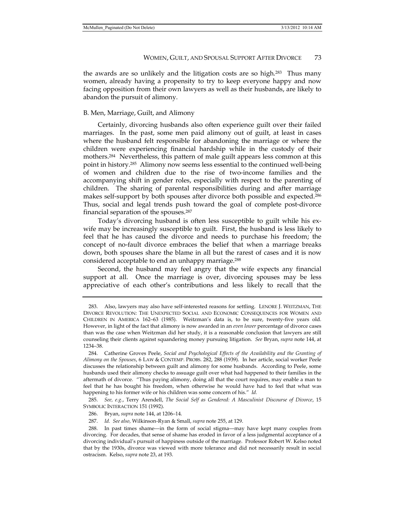the awards are so unlikely and the litigation costs are so high.283 Thus many women, already having a propensity to try to keep everyone happy and now facing opposition from their own lawyers as well as their husbands, are likely to abandon the pursuit of alimony.

#### B. Men, Marriage, Guilt, and Alimony

Certainly, divorcing husbands also often experience guilt over their failed marriages. In the past, some men paid alimony out of guilt, at least in cases where the husband felt responsible for abandoning the marriage or where the children were experiencing financial hardship while in the custody of their mothers.284 Nevertheless, this pattern of male guilt appears less common at this point in history.285 Alimony now seems less essential to the continued well-being of women and children due to the rise of two-income families and the accompanying shift in gender roles, especially with respect to the parenting of children. The sharing of parental responsibilities during and after marriage makes self-support by both spouses after divorce both possible and expected.286 Thus, social and legal trends push toward the goal of complete post-divorce financial separation of the spouses.287

Today's divorcing husband is often less susceptible to guilt while his exwife may be increasingly susceptible to guilt. First, the husband is less likely to feel that he has caused the divorce and needs to purchase his freedom; the concept of no-fault divorce embraces the belief that when a marriage breaks down, both spouses share the blame in all but the rarest of cases and it is now considered acceptable to end an unhappy marriage.288

Second, the husband may feel angry that the wife expects any financial support at all. Once the marriage is over, divorcing spouses may be less appreciative of each other's contributions and less likely to recall that the

 <sup>283.</sup> Also, lawyers may also have self-interested reasons for settling. LENORE J. WEITZMAN, THE DIVORCE REVOLUTION: THE UNEXPECTED SOCIAL AND ECONOMIC CONSEQUENCES FOR WOMEN AND CHILDREN IN AMERICA 162–63 (1985). Weitzman's data is, to be sure, twenty-five years old. However, in light of the fact that alimony is now awarded in an *even lower* percentage of divorce cases than was the case when Weitzman did her study, it is a reasonable conclusion that lawyers are still counseling their clients against squandering money pursuing litigation. *See* Bryan, *supra* note 144, at 1234–38.

 <sup>284.</sup> Catherine Groves Peele, *Social and Psychological Effects of the Availability and the Granting of Alimony on the Spouses*, 6 LAW & CONTEMP. PROBS. 282, 288 (1939). In her article, social worker Peele discusses the relationship between guilt and alimony for some husbands. According to Peele, some husbands used their alimony checks to assuage guilt over what had happened to their families in the aftermath of divorce. "Thus paying alimony, doing all that the court requires, may enable a man to feel that he has bought his freedom, when otherwise he would have had to feel that what was happening to his former wife or his children was some concern of his." *Id.*

 <sup>285.</sup> *See, e.g.*, Terry Arendell, *The Social Self as Gendered: A Masculinist Discourse of Divorce*, 15 SYMBOLIC INTERACTION 151 (1992).

 <sup>286.</sup> Bryan, *supra* note 144, at 1206–14.

 <sup>287.</sup> *Id. See also,* Wilkinson-Ryan & Small, *supra* note 255, at 129.

 <sup>288.</sup> In past times shame—in the form of social stigma—may have kept many couples from divorcing. For decades, that sense of shame has eroded in favor of a less judgmental acceptance of a divorcing individual's pursuit of happiness outside of the marriage. Professor Robert W. Kelso noted that by the 1930s, divorce was viewed with more tolerance and did not necessarily result in social ostracism. Kelso, *supra* note 23, at 193.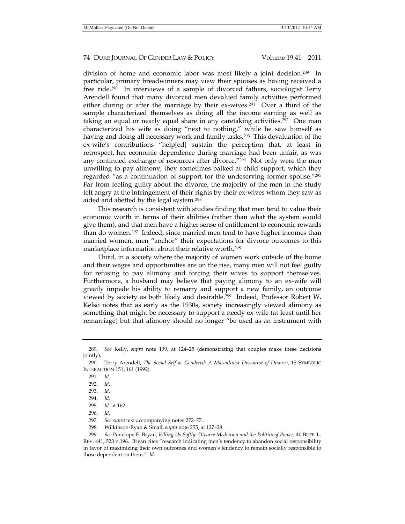division of home and economic labor was most likely a joint decision.289 In particular, primary breadwinners may view their spouses as having received a free ride.290 In interviews of a sample of divorced fathers, sociologist Terry Arendell found that many divorced men devalued family activities performed either during or after the marriage by their ex-wives.<sup>291</sup> Over a third of the sample characterized themselves as doing all the income earning as well as taking an equal or nearly equal share in any caretaking activities.292 One man characterized his wife as doing "next to nothing," while he saw himself as having and doing all necessary work and family tasks.<sup>293</sup> This devaluation of the ex-wife's contributions "help[ed] sustain the perception that, at least in retrospect, her economic dependence during marriage had been unfair, as was any continued exchange of resources after divorce."294 Not only were the men unwilling to pay alimony, they sometimes balked at child support, which they regarded "as a continuation of support for the undeserving former spouse."295 Far from feeling guilty about the divorce, the majority of the men in the study felt angry at the infringement of their rights by their ex-wives whom they saw as aided and abetted by the legal system.296

This research is consistent with studies finding that men tend to value their economic worth in terms of their abilities (rather than what the system would give them), and that men have a higher sense of entitlement to economic rewards than do women.<sup>297</sup> Indeed, since married men tend to have higher incomes than married women, men "anchor" their expectations for divorce outcomes to this marketplace information about their relative worth.298

Third, in a society where the majority of women work outside of the home and their wages and opportunities are on the rise, many men will not feel guilty for refusing to pay alimony and forcing their wives to support themselves. Furthermore, a husband may believe that paying alimony to an ex-wife will greatly impede his ability to remarry and support a new family, an outcome viewed by society as both likely and desirable.299 Indeed, Professor Robert W. Kelso notes that as early as the 1930s, society increasingly viewed alimony as something that might be necessary to support a needy ex-wife (at least until her remarriage) but that alimony should no longer "be used as an instrument with

 <sup>289.</sup> *See* Kelly, *supra* note 199, at 124–25 (demonstrating that couples make these decisions jointly).

 <sup>290.</sup> Terry Arendell, *The Social Self as Gendered: A Masculinist Discourse of Divorce*, 15 SYMBOLIC INTERACTION 151, 161 (1992).

 <sup>291.</sup> *Id.*

 <sup>292.</sup> *Id.*

 <sup>293.</sup> *Id.*

 <sup>294.</sup> *Id.*

 <sup>295.</sup> *Id.* at 162.

 <sup>296.</sup> *Id.*

 <sup>297.</sup> *See supra* text accompanying notes 272–77.

 <sup>298.</sup> Wilkinson-Ryan & Small, *supra* note 255, at 127–28.

 <sup>299.</sup> *See* Penelope E. Bryan, *Killing Us Softly: Divorce Mediation and the Politics of Power*, 40 BUFF. L. REV. 441, 523 n.196. Bryan cites "research indicating men's tendency to abandon social responsibility in favor of maximizing their own outcomes and women's tendency to remain socially responsible to those dependent on them." *Id.*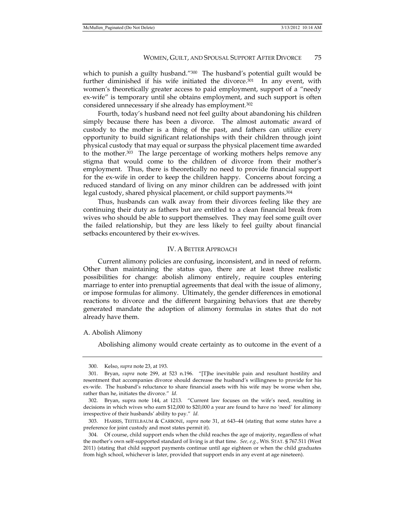which to punish a guilty husband."<sup>300</sup> The husband's potential guilt would be further diminished if his wife initiated the divorce. $301$  In any event, with women's theoretically greater access to paid employment, support of a "needy ex-wife" is temporary until she obtains employment, and such support is often considered unnecessary if she already has employment.302

Fourth, today's husband need not feel guilty about abandoning his children simply because there has been a divorce. The almost automatic award of custody to the mother is a thing of the past, and fathers can utilize every opportunity to build significant relationships with their children through joint physical custody that may equal or surpass the physical placement time awarded to the mother.303 The large percentage of working mothers helps remove any stigma that would come to the children of divorce from their mother's employment. Thus, there is theoretically no need to provide financial support for the ex-wife in order to keep the children happy. Concerns about forcing a reduced standard of living on any minor children can be addressed with joint legal custody, shared physical placement, or child support payments.304

Thus, husbands can walk away from their divorces feeling like they are continuing their duty as fathers but are entitled to a clean financial break from wives who should be able to support themselves. They may feel some guilt over the failed relationship, but they are less likely to feel guilty about financial setbacks encountered by their ex-wives.

#### IV. A BETTER APPROACH

Current alimony policies are confusing, inconsistent, and in need of reform. Other than maintaining the status quo, there are at least three realistic possibilities for change: abolish alimony entirely, require couples entering marriage to enter into prenuptial agreements that deal with the issue of alimony, or impose formulas for alimony. Ultimately, the gender differences in emotional reactions to divorce and the different bargaining behaviors that are thereby generated mandate the adoption of alimony formulas in states that do not already have them.

#### A. Abolish Alimony

Abolishing alimony would create certainty as to outcome in the event of a

 <sup>300.</sup> Kelso, *supra* note 23, at 193.

 <sup>301.</sup> Bryan, *supra* note 299, at 523 n.196. "[T]he inevitable pain and resultant hostility and resentment that accompanies divorce should decrease the husband's willingness to provide for his ex-wife. The husband's reluctance to share financial assets with his wife may be worse when she, rather than he, initiates the divorce." *Id.*

 <sup>302.</sup> Bryan, supra note 144, at 1213. "Current law focuses on the wife's need, resulting in decisions in which wives who earn \$12,000 to \$20,000 a year are found to have no 'need' for alimony irrespective of their husbands' ability to pay." *Id.*

 <sup>303.</sup> HARRIS, TEITELBAUM & CARBONE, *supra* note 31, at 643–44 (stating that some states have a preference for joint custody and most states permit it).

 <sup>304.</sup> Of course, child support ends when the child reaches the age of majority, regardless of what the mother's own self-supported standard of living is at that time. *See, e.g.*, WIS. STAT. § 767.511 (West 2011) (stating that child support payments continue until age eighteen or when the child graduates from high school, whichever is later, provided that support ends in any event at age nineteen).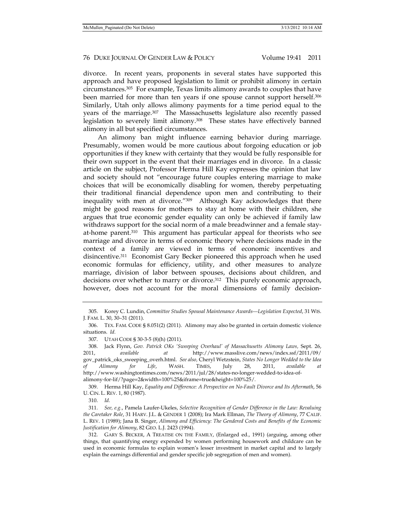divorce. In recent years, proponents in several states have supported this approach and have proposed legislation to limit or prohibit alimony in certain circumstances.305 For example, Texas limits alimony awards to couples that have been married for more than ten years if one spouse cannot support herself.306 Similarly, Utah only allows alimony payments for a time period equal to the years of the marriage.307 The Massachusetts legislature also recently passed legislation to severely limit alimony.308 These states have effectively banned alimony in all but specified circumstances.

An alimony ban might influence earning behavior during marriage. Presumably, women would be more cautious about forgoing education or job opportunities if they knew with certainty that they would be fully responsible for their own support in the event that their marriages end in divorce. In a classic article on the subject, Professor Herma Hill Kay expresses the opinion that law and society should not "encourage future couples entering marriage to make choices that will be economically disabling for women, thereby perpetuating their traditional financial dependence upon men and contributing to their inequality with men at divorce."309 Although Kay acknowledges that there might be good reasons for mothers to stay at home with their children, she argues that true economic gender equality can only be achieved if family law withdraws support for the social norm of a male breadwinner and a female stayat-home parent.310 This argument has particular appeal for theorists who see marriage and divorce in terms of economic theory where decisions made in the context of a family are viewed in terms of economic incentives and disincentive.311 Economist Gary Becker pioneered this approach when he used economic formulas for efficiency, utility, and other measures to analyze marriage, division of labor between spouses, decisions about children, and decisions over whether to marry or divorce.<sup>312</sup> This purely economic approach, however, does not account for the moral dimensions of family decision-

 309. Herma Hill Kay, *Equality and Difference: A Perspective on No-Fault Divorce and Its Aftermath*, 56 U. CIN. L. REV. 1, 80 (1987).

310. *Id.*

 <sup>305.</sup> Korey C. Lundin, *Committee Studies Spousal Maintenance Awards—Legislation Expected*, 31 WIS. J. FAM. L. 30, 30–31 (2011).

 <sup>306.</sup> TEX. FAM. CODE § 8.051(2) (2011). Alimony may also be granted in certain domestic violence situations. *Id.* 

 <sup>307.</sup> UTAH CODE § 30-3-5 (8)(h) (2011).

 <sup>308.</sup> Jack Flynn, *Gov. Patrick OKs 'Sweeping Overhaul' of Massachusetts Alimony Laws,* Sept. 26, 2011, *available at* http://www.masslive.com/news/index.ssf/2011/09/ gov\_patrick\_oks\_sweeping\_overh.html. *See also,* Cheryl Wetzstein, *States No Longer Wedded to the Idea of Alimony for Life*, WASH. TIMES, July 28, 2011, *available at*  http://www.washingtontimes.com/news/2011/jul/28/states-no-longer-wedded-to-idea-ofalimony-for-lif/?page=2&width=100%25&iframe=true&height=100%25/*.* 

 <sup>311.</sup> *See, e.g.*, Pamela Laufer-Ukeles, *Selective Recognition of Gender Difference in the Law: Revaluing the Caretaker Role*, 31 HARV. J.L. & GENDER 1 (2008); Ira Mark Ellman, *The Theory of Alimony*, 77 CALIF. L. REV. 1 (1989); Jana B. Singer, *Alimony and Efficiency: The Gendered Costs and Benefits of the Economic Justification for Alimony*, 82 GEO. L.J. 2423 (1994).

 <sup>312.</sup> GARY S. BECKER, A TREATISE ON THE FAMILY, (Enlarged ed., 1991) (arguing, among other things, that quantifying energy expended by women performing housework and childcare can be used in economic formulas to explain women's lesser investment in market capital and to largely explain the earnings differential and gender specific job segregation of men and women).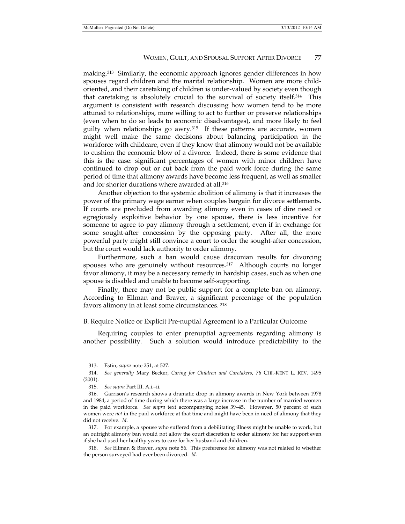making.313 Similarly, the economic approach ignores gender differences in how spouses regard children and the marital relationship. Women are more childoriented, and their caretaking of children is under-valued by society even though that caretaking is absolutely crucial to the survival of society itself.314 This argument is consistent with research discussing how women tend to be more attuned to relationships, more willing to act to further or preserve relationships (even when to do so leads to economic disadvantages), and more likely to feel guilty when relationships go awry. $315$  If these patterns are accurate, women might well make the same decisions about balancing participation in the workforce with childcare, even if they know that alimony would not be available to cushion the economic blow of a divorce. Indeed, there is some evidence that this is the case: significant percentages of women with minor children have continued to drop out or cut back from the paid work force during the same period of time that alimony awards have become less frequent, as well as smaller and for shorter durations where awarded at all.316

Another objection to the systemic abolition of alimony is that it increases the power of the primary wage earner when couples bargain for divorce settlements. If courts are precluded from awarding alimony even in cases of dire need or egregiously exploitive behavior by one spouse, there is less incentive for someone to agree to pay alimony through a settlement, even if in exchange for some sought-after concession by the opposing party. After all, the more powerful party might still convince a court to order the sought-after concession, but the court would lack authority to order alimony.

Furthermore, such a ban would cause draconian results for divorcing spouses who are genuinely without resources.<sup>317</sup> Although courts no longer favor alimony, it may be a necessary remedy in hardship cases, such as when one spouse is disabled and unable to become self-supporting.

Finally, there may not be public support for a complete ban on alimony. According to Ellman and Braver, a significant percentage of the population favors alimony in at least some circumstances. 318

#### B. Require Notice or Explicit Pre-nuptial Agreement to a Particular Outcome

Requiring couples to enter prenuptial agreements regarding alimony is another possibility. Such a solution would introduce predictability to the

 318. *See* Ellman & Braver, *supra* note 56. This preference for alimony was not related to whether the person surveyed had ever been divorced. *Id.*

 <sup>313.</sup> Estin, *supra* note 251, at 527.

 <sup>314.</sup> *See generally* Mary Becker, *Caring for Children and Caretakers*, 76 CHI.-KENT L. REV. 1495 (2001).

 <sup>315.</sup> *See supra* Part III. A.i.–ii.

 <sup>316.</sup> Garrison's research shows a dramatic drop in alimony awards in New York between 1978 and 1984, a period of time during which there was a large increase in the number of married women in the paid workforce. *See supra* text accompanying notes 39–45. However, 50 percent of such women were *not* in the paid workforce at that time and might have been in need of alimony that they did not receive. *Id.*

 <sup>317.</sup> For example, a spouse who suffered from a debilitating illness might be unable to work, but an outright alimony ban would not allow the court discretion to order alimony for her support even if she had used her healthy years to care for her husband and children.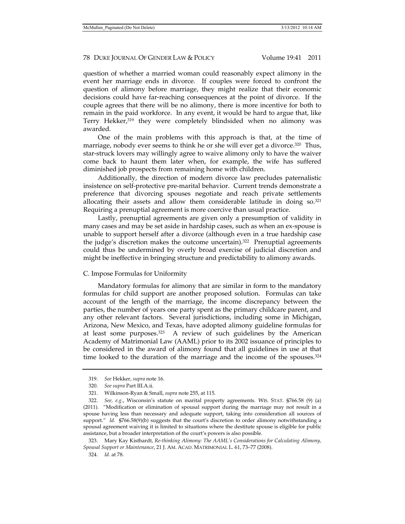question of whether a married woman could reasonably expect alimony in the event her marriage ends in divorce. If couples were forced to confront the question of alimony before marriage, they might realize that their economic decisions could have far-reaching consequences at the point of divorce. If the couple agrees that there will be no alimony, there is more incentive for both to remain in the paid workforce. In any event, it would be hard to argue that, like Terry Hekker,319 they were completely blindsided when no alimony was awarded.

One of the main problems with this approach is that, at the time of marriage, nobody ever seems to think he or she will ever get a divorce.<sup>320</sup> Thus, star-struck lovers may willingly agree to waive alimony only to have the waiver come back to haunt them later when, for example, the wife has suffered diminished job prospects from remaining home with children.

Additionally, the direction of modern divorce law precludes paternalistic insistence on self-protective pre-marital behavior. Current trends demonstrate a preference that divorcing spouses negotiate and reach private settlements allocating their assets and allow them considerable latitude in doing  $so^{321}$ Requiring a prenuptial agreement is more coercive than usual practice.

Lastly, prenuptial agreements are given only a presumption of validity in many cases and may be set aside in hardship cases, such as when an ex-spouse is unable to support herself after a divorce (although even in a true hardship case the judge's discretion makes the outcome uncertain).322 Prenuptial agreements could thus be undermined by overly broad exercise of judicial discretion and might be ineffective in bringing structure and predictability to alimony awards.

#### C. Impose Formulas for Uniformity

Mandatory formulas for alimony that are similar in form to the mandatory formulas for child support are another proposed solution. Formulas can take account of the length of the marriage, the income discrepancy between the parties, the number of years one party spent as the primary childcare parent, and any other relevant factors. Several jurisdictions, including some in Michigan, Arizona, New Mexico, and Texas, have adopted alimony guideline formulas for at least some purposes.323 A review of such guidelines by the American Academy of Matrimonial Law (AAML) prior to its 2002 issuance of principles to be considered in the award of alimony found that all guidelines in use at that time looked to the duration of the marriage and the income of the spouses.<sup>324</sup>

 <sup>319.</sup> *See* Hekker, *supra* note 16.

 <sup>320.</sup> *See supra* Part III.A.ii.

 <sup>321.</sup> Wilkinson-Ryan & Small, *supra* note 255, at 115.

 <sup>322.</sup> *See, e.g.*, Wisconsin's statute on marital property agreements*.* WIS. STAT. §766.58 (9) (a) (2011). "Modification or elimination of spousal support during the marriage may not result in a spouse having less than necessary and adequate support, taking into consideration all sources of support." *Id.* §766.58(9)(b) suggests that the court's discretion to order alimony notwithstanding a spousal agreement waiving it is limited to situations where the destitute spouse is eligible for public assistance, but a broader interpretation of the court's powers is also possible.

 <sup>323.</sup> Mary Kay Kisthardt, *Re-thinking Alimony: The AAML's Considerations for Calculating Alimony, Spousal Support or Maintenance*, 21 J. AM. ACAD. MATRIMONIAL L. 61, 73–77 (2008).

 <sup>324.</sup> *Id.* at 78.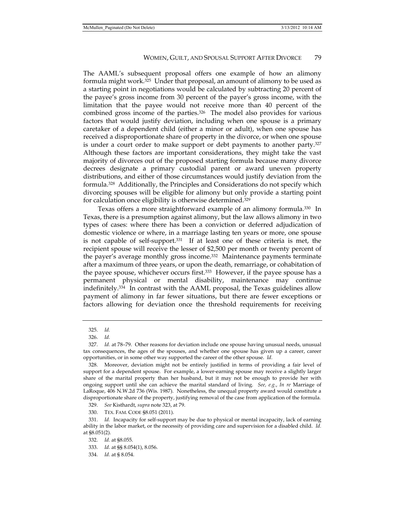The AAML's subsequent proposal offers one example of how an alimony formula might work.325 Under that proposal, an amount of alimony to be used as a starting point in negotiations would be calculated by subtracting 20 percent of the payee's gross income from 30 percent of the payer's gross income, with the limitation that the payee would not receive more than 40 percent of the combined gross income of the parties.326 The model also provides for various factors that would justify deviation, including when one spouse is a primary caretaker of a dependent child (either a minor or adult), when one spouse has received a disproportionate share of property in the divorce, or when one spouse is under a court order to make support or debt payments to another party.327 Although these factors are important considerations, they might take the vast majority of divorces out of the proposed starting formula because many divorce decrees designate a primary custodial parent or award uneven property distributions, and either of those circumstances would justify deviation from the formula.328 Additionally, the Principles and Considerations do not specify which divorcing spouses will be eligible for alimony but only provide a starting point for calculation once eligibility is otherwise determined.329

Texas offers a more straightforward example of an alimony formula.330 In Texas, there is a presumption against alimony, but the law allows alimony in two types of cases: where there has been a conviction or deferred adjudication of domestic violence or where, in a marriage lasting ten years or more, one spouse is not capable of self-support.331 If at least one of these criteria is met, the recipient spouse will receive the lesser of \$2,500 per month or twenty percent of the payer's average monthly gross income.332 Maintenance payments terminate after a maximum of three years, or upon the death, remarriage, or cohabitation of the payee spouse, whichever occurs first.<sup>333</sup> However, if the payee spouse has a permanent physical or mental disability, maintenance may continue indefinitely.334 In contrast with the AAML proposal, the Texas guidelines allow payment of alimony in far fewer situations, but there are fewer exceptions or factors allowing for deviation once the threshold requirements for receiving

329. *See* Kisthardt, *supra* note 323, at 79.

 <sup>325.</sup> *Id.* 

 <sup>326.</sup> *Id.*

 <sup>327.</sup> *Id.* at 78–79. Other reasons for deviation include one spouse having unusual needs, unusual tax consequences, the ages of the spouses, and whether one spouse has given up a career, career opportunities, or in some other way supported the career of the other spouse. *Id.*

 <sup>328.</sup> Moreover, deviation might not be entirely justified in terms of providing a fair level of support for a dependent spouse. For example, a lower-earning spouse may receive a slightly larger share of the marital property than her husband, but it may not be enough to provide her with ongoing support until she can achieve the marital standard of living. *See, e.g.*, *In re* Marriage of LaRoque, 406 N.W.2d 736 (Wis. 1987). Nonetheless, the unequal property award would constitute a disproportionate share of the property, justifying removal of the case from application of the formula.

 <sup>330.</sup> TEX. FAM. CODE §8.051 (2011).

 <sup>331.</sup> *Id.* Incapacity for self-support may be due to physical or mental incapacity, lack of earning ability in the labor market, or the necessity of providing care and supervision for a disabled child. *Id.* at §8.051(2).

 <sup>332.</sup> *Id.* at §8.055.

 <sup>333.</sup> *Id.* at §§ 8.054(1), 8.056.

 <sup>334.</sup> *Id.* at § 8.054.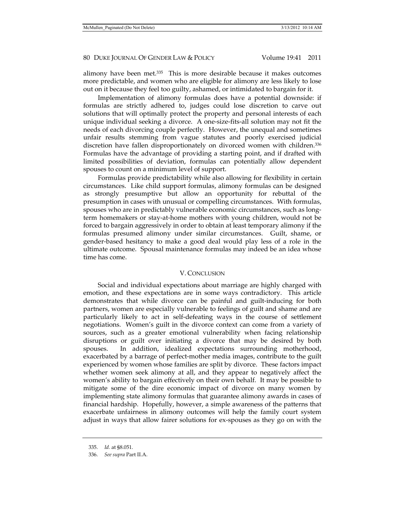alimony have been met.<sup>335</sup> This is more desirable because it makes outcomes more predictable, and women who are eligible for alimony are less likely to lose out on it because they feel too guilty, ashamed, or intimidated to bargain for it.

Implementation of alimony formulas does have a potential downside: if formulas are strictly adhered to, judges could lose discretion to carve out solutions that will optimally protect the property and personal interests of each unique individual seeking a divorce. A one-size-fits-all solution may not fit the needs of each divorcing couple perfectly. However, the unequal and sometimes unfair results stemming from vague statutes and poorly exercised judicial discretion have fallen disproportionately on divorced women with children.336 Formulas have the advantage of providing a starting point, and if drafted with limited possibilities of deviation, formulas can potentially allow dependent spouses to count on a minimum level of support.

Formulas provide predictability while also allowing for flexibility in certain circumstances. Like child support formulas, alimony formulas can be designed as strongly presumptive but allow an opportunity for rebuttal of the presumption in cases with unusual or compelling circumstances. With formulas, spouses who are in predictably vulnerable economic circumstances, such as longterm homemakers or stay-at-home mothers with young children, would not be forced to bargain aggressively in order to obtain at least temporary alimony if the formulas presumed alimony under similar circumstances. Guilt, shame, or gender-based hesitancy to make a good deal would play less of a role in the ultimate outcome. Spousal maintenance formulas may indeed be an idea whose time has come.

#### V. CONCLUSION

Social and individual expectations about marriage are highly charged with emotion, and these expectations are in some ways contradictory. This article demonstrates that while divorce can be painful and guilt-inducing for both partners, women are especially vulnerable to feelings of guilt and shame and are particularly likely to act in self-defeating ways in the course of settlement negotiations. Women's guilt in the divorce context can come from a variety of sources, such as a greater emotional vulnerability when facing relationship disruptions or guilt over initiating a divorce that may be desired by both spouses. In addition, idealized expectations surrounding motherhood, exacerbated by a barrage of perfect-mother media images, contribute to the guilt experienced by women whose families are split by divorce. These factors impact whether women seek alimony at all, and they appear to negatively affect the women's ability to bargain effectively on their own behalf. It may be possible to mitigate some of the dire economic impact of divorce on many women by implementing state alimony formulas that guarantee alimony awards in cases of financial hardship. Hopefully, however, a simple awareness of the patterns that exacerbate unfairness in alimony outcomes will help the family court system adjust in ways that allow fairer solutions for ex-spouses as they go on with the

 <sup>335.</sup> *Id.* at §8.051.

 <sup>336.</sup> *See supra* Part II.A.